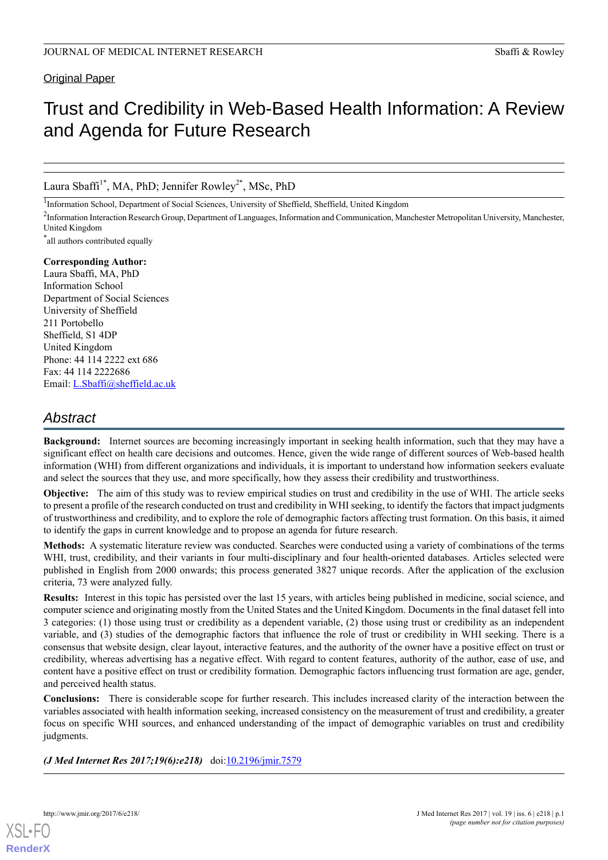# Original Paper

# Trust and Credibility in Web-Based Health Information: A Review and Agenda for Future Research

Laura Sbaffi<sup>1\*</sup>, MA, PhD; Jennifer Rowley<sup>2\*</sup>, MSc, PhD

<sup>1</sup>Information School, Department of Social Sciences, University of Sheffield, Sheffield, United Kingdom

<sup>2</sup>Information Interaction Research Group, Department of Languages, Information and Communication, Manchester Metropolitan University, Manchester, United Kingdom

\* all authors contributed equally

# **Corresponding Author:**

Laura Sbaffi, MA, PhD Information School Department of Social Sciences University of Sheffield 211 Portobello Sheffield, S1 4DP United Kingdom Phone: 44 114 2222 ext 686 Fax: 44 114 2222686 Email: [L.Sbaffi@sheffield.ac.uk](mailto:L.Sbaffi@sheffield.ac.uk)

# *Abstract*

**Background:** Internet sources are becoming increasingly important in seeking health information, such that they may have a significant effect on health care decisions and outcomes. Hence, given the wide range of different sources of Web-based health information (WHI) from different organizations and individuals, it is important to understand how information seekers evaluate and select the sources that they use, and more specifically, how they assess their credibility and trustworthiness.

**Objective:** The aim of this study was to review empirical studies on trust and credibility in the use of WHI. The article seeks to present a profile of the research conducted on trust and credibility in WHI seeking, to identify the factors that impact judgments of trustworthiness and credibility, and to explore the role of demographic factors affecting trust formation. On this basis, it aimed to identify the gaps in current knowledge and to propose an agenda for future research.

**Methods:** A systematic literature review was conducted. Searches were conducted using a variety of combinations of the terms WHI, trust, credibility, and their variants in four multi-disciplinary and four health-oriented databases. Articles selected were published in English from 2000 onwards; this process generated 3827 unique records. After the application of the exclusion criteria, 73 were analyzed fully.

**Results:** Interest in this topic has persisted over the last 15 years, with articles being published in medicine, social science, and computer science and originating mostly from the United States and the United Kingdom. Documents in the final dataset fell into 3 categories: (1) those using trust or credibility as a dependent variable, (2) those using trust or credibility as an independent variable, and (3) studies of the demographic factors that influence the role of trust or credibility in WHI seeking. There is a consensus that website design, clear layout, interactive features, and the authority of the owner have a positive effect on trust or credibility, whereas advertising has a negative effect. With regard to content features, authority of the author, ease of use, and content have a positive effect on trust or credibility formation. Demographic factors influencing trust formation are age, gender, and perceived health status.

**Conclusions:** There is considerable scope for further research. This includes increased clarity of the interaction between the variables associated with health information seeking, increased consistency on the measurement of trust and credibility, a greater focus on specific WHI sources, and enhanced understanding of the impact of demographic variables on trust and credibility judgments.

*(J Med Internet Res 2017;19(6):e218)* doi:[10.2196/jmir.7579](http://dx.doi.org/10.2196/jmir.7579)

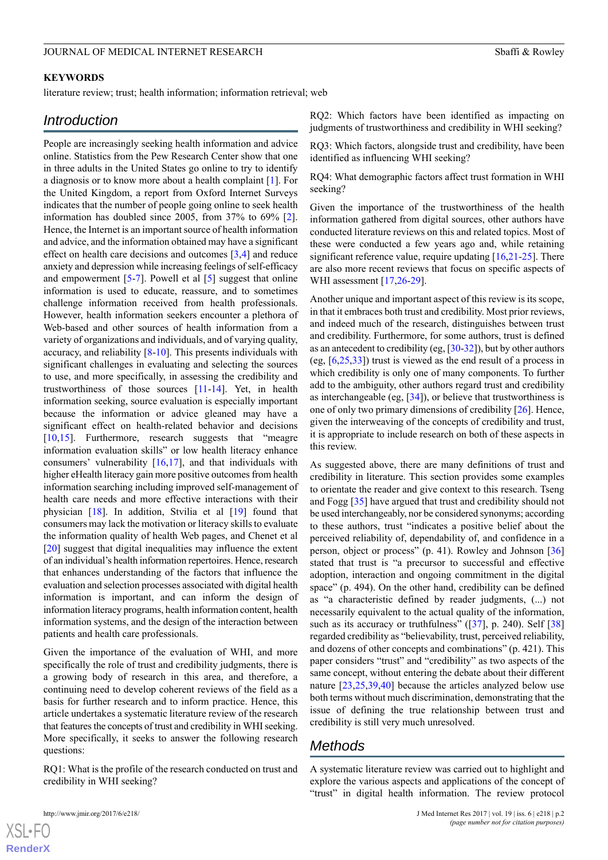#### **KEYWORDS**

literature review; trust; health information; information retrieval; web

# *Introduction*

People are increasingly seeking health information and advice online. Statistics from the Pew Research Center show that one in three adults in the United States go online to try to identify a diagnosis or to know more about a health complaint [\[1](#page-11-0)]. For the United Kingdom, a report from Oxford Internet Surveys indicates that the number of people going online to seek health information has doubled since 2005, from 37% to 69% [[2\]](#page-11-1). Hence, the Internet is an important source of health information and advice, and the information obtained may have a significant effect on health care decisions and outcomes [\[3](#page-11-2),[4\]](#page-11-3) and reduce anxiety and depression while increasing feelings of self-efficacy and empowerment [\[5](#page-11-4)-[7\]](#page-11-5). Powell et al [[5\]](#page-11-4) suggest that online information is used to educate, reassure, and to sometimes challenge information received from health professionals. However, health information seekers encounter a plethora of Web-based and other sources of health information from a variety of organizations and individuals, and of varying quality, accuracy, and reliability [\[8](#page-11-6)-[10\]](#page-12-0). This presents individuals with significant challenges in evaluating and selecting the sources to use, and more specifically, in assessing the credibility and trustworthiness of those sources [[11-](#page-12-1)[14\]](#page-12-2). Yet, in health information seeking, source evaluation is especially important because the information or advice gleaned may have a significant effect on health-related behavior and decisions [[10](#page-12-0)[,15](#page-12-3)]. Furthermore, research suggests that "meagre" information evaluation skills" or low health literacy enhance consumers' vulnerability [[16,](#page-12-4)[17](#page-12-5)], and that individuals with higher eHealth literacy gain more positive outcomes from health information searching including improved self-management of health care needs and more effective interactions with their physician [[18\]](#page-12-6). In addition, Stvilia et al [\[19](#page-12-7)] found that consumers may lack the motivation or literacy skills to evaluate the information quality of health Web pages, and Chenet et al [[20\]](#page-12-8) suggest that digital inequalities may influence the extent of an individual's health information repertoires. Hence, research that enhances understanding of the factors that influence the evaluation and selection processes associated with digital health information is important, and can inform the design of information literacy programs, health information content, health information systems, and the design of the interaction between patients and health care professionals.

Given the importance of the evaluation of WHI, and more specifically the role of trust and credibility judgments, there is a growing body of research in this area, and therefore, a continuing need to develop coherent reviews of the field as a basis for further research and to inform practice. Hence, this article undertakes a systematic literature review of the research that features the concepts of trust and credibility in WHI seeking. More specifically, it seeks to answer the following research questions:

RQ1: What is the profile of the research conducted on trust and credibility in WHI seeking?

[XSL](http://www.w3.org/Style/XSL)•FO **[RenderX](http://www.renderx.com/)**

RQ2: Which factors have been identified as impacting on judgments of trustworthiness and credibility in WHI seeking?

RQ3: Which factors, alongside trust and credibility, have been identified as influencing WHI seeking?

RQ4: What demographic factors affect trust formation in WHI seeking?

Given the importance of the trustworthiness of the health information gathered from digital sources, other authors have conducted literature reviews on this and related topics. Most of these were conducted a few years ago and, while retaining significant reference value, require updating  $[16,21,25]$  $[16,21,25]$  $[16,21,25]$  $[16,21,25]$ . There are also more recent reviews that focus on specific aspects of WHI assessment [\[17](#page-12-5),[26](#page-12-11)[-29](#page-12-12)].

Another unique and important aspect of this review is its scope, in that it embraces both trust and credibility. Most prior reviews, and indeed much of the research, distinguishes between trust and credibility. Furthermore, for some authors, trust is defined as an antecedent to credibility (eg, [\[30](#page-12-13)[-32](#page-12-14)]), but by other authors (eg, [[6](#page-11-7)[,25](#page-12-10),[33\]](#page-12-15)) trust is viewed as the end result of a process in which credibility is only one of many components. To further add to the ambiguity, other authors regard trust and credibility as interchangeable (eg, [\[34](#page-12-16)]), or believe that trustworthiness is one of only two primary dimensions of credibility [[26\]](#page-12-11). Hence, given the interweaving of the concepts of credibility and trust, it is appropriate to include research on both of these aspects in this review.

As suggested above, there are many definitions of trust and credibility in literature. This section provides some examples to orientate the reader and give context to this research. Tseng and Fogg [[35\]](#page-12-17) have argued that trust and credibility should not be used interchangeably, nor be considered synonyms; according to these authors, trust "indicates a positive belief about the perceived reliability of, dependability of, and confidence in a person, object or process" (p. 41). Rowley and Johnson [\[36](#page-12-18)] stated that trust is "a precursor to successful and effective adoption, interaction and ongoing commitment in the digital space" (p. 494). On the other hand, credibility can be defined as "a characteristic defined by reader judgments, (...) not necessarily equivalent to the actual quality of the information, such as its accuracy or truthfulness" ([\[37](#page-12-19)], p. 240). Self [\[38](#page-13-0)] regarded credibility as "believability, trust, perceived reliability, and dozens of other concepts and combinations" (p. 421). This paper considers "trust" and "credibility" as two aspects of the same concept, without entering the debate about their different nature [\[23](#page-12-20),[25](#page-12-10)[,39](#page-13-1),[40\]](#page-13-2) because the articles analyzed below use both terms without much discrimination, demonstrating that the issue of defining the true relationship between trust and credibility is still very much unresolved.

# *Methods*

A systematic literature review was carried out to highlight and explore the various aspects and applications of the concept of "trust" in digital health information. The review protocol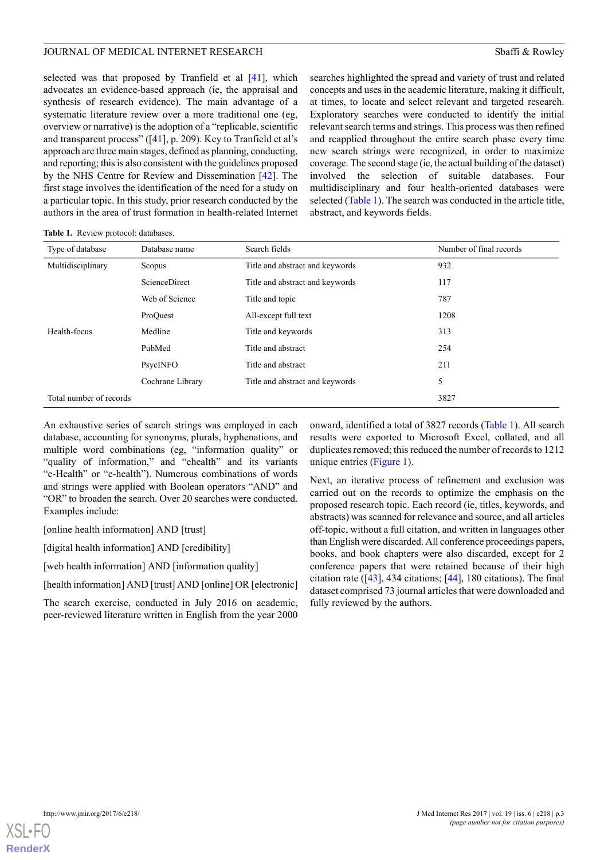selected was that proposed by Tranfield et al [\[41](#page-13-3)], which advocates an evidence-based approach (ie, the appraisal and synthesis of research evidence). The main advantage of a systematic literature review over a more traditional one (eg, overview or narrative) is the adoption of a "replicable, scientific and transparent process" ([\[41](#page-13-3)], p. 209). Key to Tranfield et al's approach are three main stages, defined as planning, conducting, and reporting; this is also consistent with the guidelines proposed by the NHS Centre for Review and Dissemination [[42\]](#page-13-4). The first stage involves the identification of the need for a study on a particular topic. In this study, prior research conducted by the authors in the area of trust formation in health-related Internet searches highlighted the spread and variety of trust and related concepts and uses in the academic literature, making it difficult, at times, to locate and select relevant and targeted research. Exploratory searches were conducted to identify the initial relevant search terms and strings. This process was then refined and reapplied throughout the entire search phase every time new search strings were recognized, in order to maximize coverage. The second stage (ie, the actual building of the dataset) involved the selection of suitable databases. Four multidisciplinary and four health-oriented databases were selected [\(Table 1](#page-2-0)). The search was conducted in the article title, abstract, and keywords fields.

<span id="page-2-0"></span>**Table 1.** Review protocol: databases.

| Type of database                | Database name    | Search fields                   | Number of final records |
|---------------------------------|------------------|---------------------------------|-------------------------|
| Multidisciplinary               | Scopus           | Title and abstract and keywords | 932                     |
|                                 | ScienceDirect    | Title and abstract and keywords | 117                     |
|                                 | Web of Science   | Title and topic                 | 787                     |
|                                 | ProOuest         | All-except full text            | 1208                    |
| Health-focus                    | Medline          | Title and keywords              | 313                     |
|                                 | PubMed           | Title and abstract              | 254                     |
|                                 | PsycINFO         | Title and abstract              | 211                     |
|                                 | Cochrane Library | Title and abstract and keywords | 5                       |
| Total number of records<br>3827 |                  |                                 |                         |

An exhaustive series of search strings was employed in each database, accounting for synonyms, plurals, hyphenations, and multiple word combinations (eg, "information quality" or "quality of information," and "ehealth" and its variants "e-Health" or "e-health"). Numerous combinations of words and strings were applied with Boolean operators "AND" and "OR" to broaden the search. Over 20 searches were conducted. Examples include:

[online health information] AND [trust]

[digital health information] AND [credibility]

[web health information] AND [information quality]

[health information] AND [trust] AND [online] OR [electronic]

The search exercise, conducted in July 2016 on academic, peer-reviewed literature written in English from the year 2000 onward, identified a total of 3827 records [\(Table 1\)](#page-2-0). All search results were exported to Microsoft Excel, collated, and all duplicates removed; this reduced the number of records to 1212 unique entries ([Figure 1](#page-3-0)).

Next, an iterative process of refinement and exclusion was carried out on the records to optimize the emphasis on the proposed research topic. Each record (ie, titles, keywords, and abstracts) was scanned for relevance and source, and all articles off-topic, without a full citation, and written in languages other than English were discarded. All conference proceedings papers, books, and book chapters were also discarded, except for 2 conference papers that were retained because of their high citation rate  $(143)$ , 434 citations;  $[44]$  $[44]$ , 180 citations). The final dataset comprised 73 journal articles that were downloaded and fully reviewed by the authors.

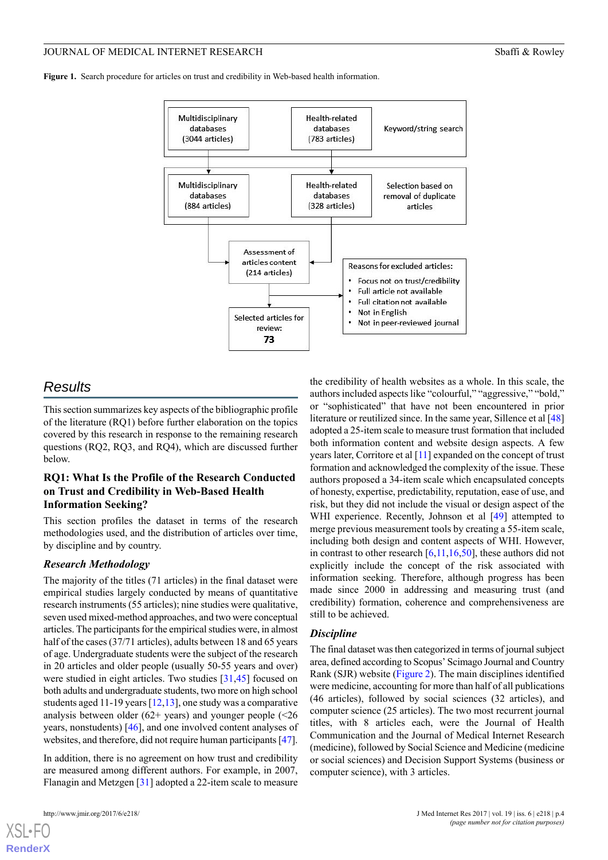<span id="page-3-0"></span>**Figure 1.** Search procedure for articles on trust and credibility in Web-based health information.



# *Results*

This section summarizes key aspects of the bibliographic profile of the literature (RQ1) before further elaboration on the topics covered by this research in response to the remaining research questions (RQ2, RQ3, and RQ4), which are discussed further below.

# **RQ1: What Is the Profile of the Research Conducted on Trust and Credibility in Web-Based Health Information Seeking?**

This section profiles the dataset in terms of the research methodologies used, and the distribution of articles over time, by discipline and by country.

# *Research Methodology*

The majority of the titles (71 articles) in the final dataset were empirical studies largely conducted by means of quantitative research instruments (55 articles); nine studies were qualitative, seven used mixed-method approaches, and two were conceptual articles. The participants for the empirical studies were, in almost half of the cases (37/71 articles), adults between 18 and 65 years of age. Undergraduate students were the subject of the research in 20 articles and older people (usually 50-55 years and over) were studied in eight articles. Two studies [[31](#page-12-21)[,45](#page-13-7)] focused on both adults and undergraduate students, two more on high school students aged 11-19 years [[12](#page-12-22)[,13](#page-12-23)], one study was a comparative analysis between older  $(62+)$  years) and younger people  $(26)$ years, nonstudents) [[46\]](#page-13-8), and one involved content analyses of websites, and therefore, did not require human participants [\[47\]](#page-13-9).

In addition, there is no agreement on how trust and credibility are measured among different authors. For example, in 2007, Flanagin and Metzgen [[31\]](#page-12-21) adopted a 22-item scale to measure

[XSL](http://www.w3.org/Style/XSL)•FO **[RenderX](http://www.renderx.com/)**

the credibility of health websites as a whole. In this scale, the authors included aspects like "colourful," "aggressive," "bold," or "sophisticated" that have not been encountered in prior literature or reutilized since. In the same year, Sillence et al [[48](#page-13-10)] adopted a 25-item scale to measure trust formation that included both information content and website design aspects. A few years later, Corritore et al [[11](#page-12-1)] expanded on the concept of trust formation and acknowledged the complexity of the issue. These authors proposed a 34-item scale which encapsulated concepts of honesty, expertise, predictability, reputation, ease of use, and risk, but they did not include the visual or design aspect of the WHI experience. Recently, Johnson et al [[49\]](#page-13-11) attempted to merge previous measurement tools by creating a 55-item scale, including both design and content aspects of WHI. However, in contrast to other research  $[6,11,16,50]$  $[6,11,16,50]$  $[6,11,16,50]$  $[6,11,16,50]$  $[6,11,16,50]$  $[6,11,16,50]$ , these authors did not explicitly include the concept of the risk associated with information seeking. Therefore, although progress has been made since 2000 in addressing and measuring trust (and credibility) formation, coherence and comprehensiveness are still to be achieved.

#### *Discipline*

The final dataset was then categorized in terms of journal subject area, defined according to Scopus' Scimago Journal and Country Rank (SJR) website [\(Figure 2](#page-4-0)). The main disciplines identified were medicine, accounting for more than half of all publications (46 articles), followed by social sciences (32 articles), and computer science (25 articles). The two most recurrent journal titles, with 8 articles each, were the Journal of Health Communication and the Journal of Medical Internet Research (medicine), followed by Social Science and Medicine (medicine or social sciences) and Decision Support Systems (business or computer science), with 3 articles.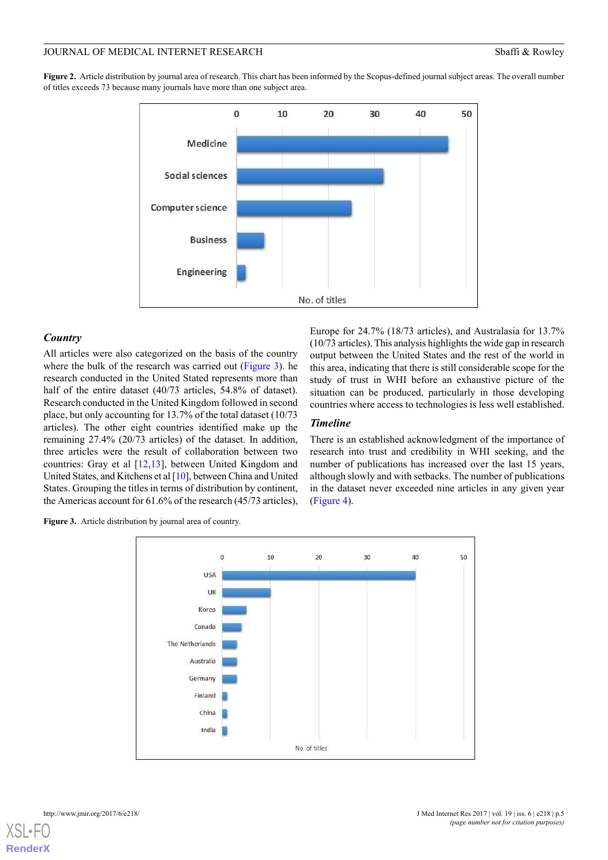<span id="page-4-0"></span>**Figure 2.** Article distribution by journal area of research. This chart has been informed by the Scopus-defined journal subject areas. The overall number of titles exceeds 73 because many journals have more than one subject area.



#### *Country*

All articles were also categorized on the basis of the country where the bulk of the research was carried out ([Figure 3](#page-4-1)). he research conducted in the United Stated represents more than half of the entire dataset (40/73 articles, 54.8% of dataset). Research conducted in the United Kingdom followed in second place, but only accounting for 13.7% of the total dataset (10/73 articles). The other eight countries identified make up the remaining 27.4% (20/73 articles) of the dataset. In addition, three articles were the result of collaboration between two countries: Gray et al [\[12](#page-12-22),[13\]](#page-12-23), between United Kingdom and United States, and Kitchens et al [\[10\]](#page-12-0), between China and United States. Grouping the titles in terms of distribution by continent, the Americas account for 61.6% of the research (45/73 articles), Europe for 24.7% (18/73 articles), and Australasia for 13.7% (10/73 articles). This analysis highlights the wide gap in research output between the United States and the rest of the world in this area, indicating that there is still considerable scope for the study of trust in WHI before an exhaustive picture of the situation can be produced, particularly in those developing countries where access to technologies is less well established.

#### *Timeline*

There is an established acknowledgment of the importance of research into trust and credibility in WHI seeking, and the number of publications has increased over the last 15 years, although slowly and with setbacks. The number of publications in the dataset never exceeded nine articles in any given year ([Figure 4\)](#page-5-0).

<span id="page-4-1"></span>**Figure 3.** Article distribution by journal area of country.

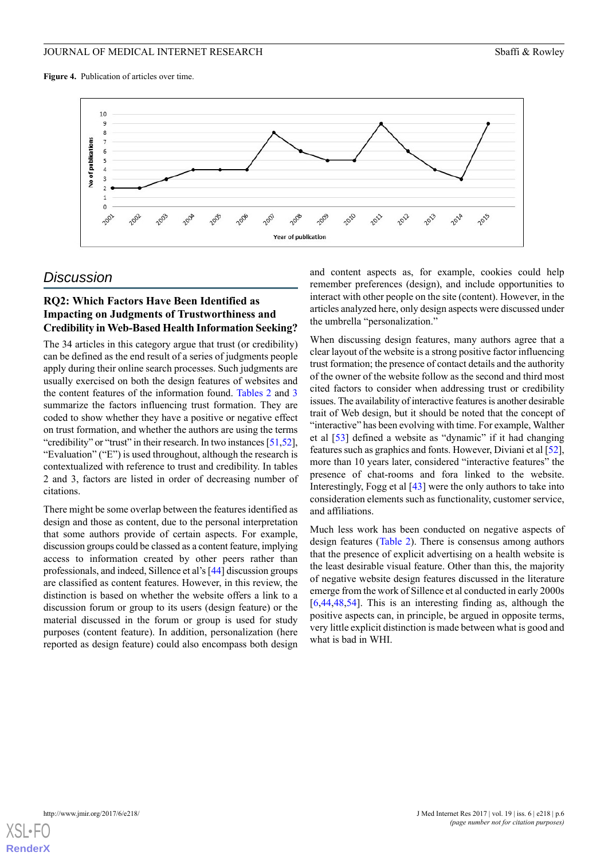<span id="page-5-0"></span>**Figure 4.** Publication of articles over time.



# *Discussion*

# **RQ2: Which Factors Have Been Identified as Impacting on Judgments of Trustworthiness and Credibility in Web-Based Health Information Seeking?**

The 34 articles in this category argue that trust (or credibility) can be defined as the end result of a series of judgments people apply during their online search processes. Such judgments are usually exercised on both the design features of websites and the content features of the information found. [Tables 2](#page-6-0) and [3](#page-7-0) summarize the factors influencing trust formation. They are coded to show whether they have a positive or negative effect on trust formation, and whether the authors are using the terms "credibility" or "trust" in their research. In two instances [\[51](#page-13-13)[,52\]](#page-13-14), "Evaluation" ("E") is used throughout, although the research is contextualized with reference to trust and credibility. In tables 2 and 3, factors are listed in order of decreasing number of citations.

There might be some overlap between the features identified as design and those as content, due to the personal interpretation that some authors provide of certain aspects. For example, discussion groups could be classed as a content feature, implying access to information created by other peers rather than professionals, and indeed, Sillence et al's [[44\]](#page-13-6) discussion groups are classified as content features. However, in this review, the distinction is based on whether the website offers a link to a discussion forum or group to its users (design feature) or the material discussed in the forum or group is used for study purposes (content feature). In addition, personalization (here reported as design feature) could also encompass both design

and content aspects as, for example, cookies could help remember preferences (design), and include opportunities to interact with other people on the site (content). However, in the articles analyzed here, only design aspects were discussed under the umbrella "personalization."

When discussing design features, many authors agree that a clear layout of the website is a strong positive factor influencing trust formation; the presence of contact details and the authority of the owner of the website follow as the second and third most cited factors to consider when addressing trust or credibility issues. The availability of interactive features is another desirable trait of Web design, but it should be noted that the concept of "interactive" has been evolving with time. For example, Walther et al [\[53](#page-13-15)] defined a website as "dynamic" if it had changing features such as graphics and fonts. However, Diviani et al [\[52](#page-13-14)], more than 10 years later, considered "interactive features" the presence of chat-rooms and fora linked to the website. Interestingly, Fogg et al [[43\]](#page-13-5) were the only authors to take into consideration elements such as functionality, customer service, and affiliations.

Much less work has been conducted on negative aspects of design features ([Table 2](#page-6-0)). There is consensus among authors that the presence of explicit advertising on a health website is the least desirable visual feature. Other than this, the majority of negative website design features discussed in the literature emerge from the work of Sillence et al conducted in early 2000s [[6](#page-11-7)[,44](#page-13-6),[48,](#page-13-10)[54\]](#page-13-16). This is an interesting finding as, although the positive aspects can, in principle, be argued in opposite terms, very little explicit distinction is made between what is good and what is bad in WHI.

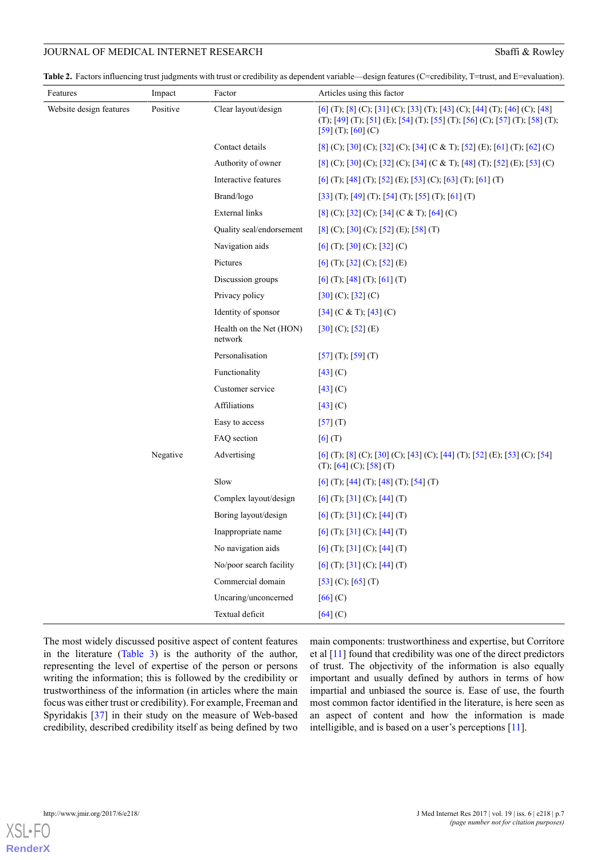<span id="page-6-0"></span>Table 2. Factors influencing trust judgments with trust or credibility as dependent variable—design features (C=credibility, T=trust, and E=evaluation).

| Features                | Impact   | Factor                             | Articles using this factor                                                                                                                                                       |
|-------------------------|----------|------------------------------------|----------------------------------------------------------------------------------------------------------------------------------------------------------------------------------|
| Website design features | Positive | Clear layout/design                | [6] (T); [8] (C); [31] (C); [33] (T); [43] (C); [44] (T); [46] (C); [48]<br>(T); [49] (T); [51] (E); [54] (T); [55] (T); [56] (C); [57] (T); [58] (T);<br>$[59]$ (T); $[60]$ (C) |
|                         |          | Contact details                    | [8] (C); [30] (C); [32] (C); [34] (C & T); [52] (E); [61] (T); [62] (C)                                                                                                          |
|                         |          | Authority of owner                 | $[8]$ (C); [30] (C); [32] (C); [34] (C & T); [48] (T); [52] (E); [53] (C)                                                                                                        |
|                         |          | Interactive features               | [6] (T); [48] (T); [52] (E); [53] (C); [63] (T); [61] (T)                                                                                                                        |
|                         |          | Brand/logo                         | [33] (T); [49] (T); [54] (T); [55] (T); [61] (T)                                                                                                                                 |
|                         |          | <b>External links</b>              | $[8]$ (C); $[32]$ (C); $[34]$ (C & T); $[64]$ (C)                                                                                                                                |
|                         |          | Quality seal/endorsement           | $[8]$ (C); [30] (C); [52] (E); [58] (T)                                                                                                                                          |
|                         |          | Navigation aids                    | $[6]$ (T); $[30]$ (C); $[32]$ (C)                                                                                                                                                |
|                         |          | Pictures                           | $[6]$ (T); [32] (C); [52] (E)                                                                                                                                                    |
|                         |          | Discussion groups                  | $[6]$ (T); $[48]$ (T); $[61]$ (T)                                                                                                                                                |
|                         |          | Privacy policy                     | $[30]$ (C); $[32]$ (C)                                                                                                                                                           |
|                         |          | Identity of sponsor                | $[34]$ (C & T); $[43]$ (C)                                                                                                                                                       |
|                         |          | Health on the Net (HON)<br>network | $[30]$ (C); $[52]$ (E)                                                                                                                                                           |
|                         |          | Personalisation                    | $[57]$ (T); $[59]$ (T)                                                                                                                                                           |
|                         |          | Functionality                      | $[43]$ (C)                                                                                                                                                                       |
|                         |          | Customer service                   | $[43]$ (C)                                                                                                                                                                       |
|                         |          | Affiliations                       | $[43]$ (C)                                                                                                                                                                       |
|                         |          | Easy to access                     | $[57]$ $(T)$                                                                                                                                                                     |
|                         |          | FAQ section                        | $[6]$ $(T)$                                                                                                                                                                      |
|                         | Negative | Advertising                        | [6] (T); [8] (C); [30] (C); [43] (C); [44] (T); [52] (E); [53] (C); [54]<br>(T); [64] (C); [58] (T)                                                                              |
|                         |          | Slow                               | $[6]$ (T); [44] (T); [48] (T); [54] (T)                                                                                                                                          |
|                         |          | Complex layout/design              | $[6]$ (T); [31] (C); [44] (T)                                                                                                                                                    |
|                         |          | Boring layout/design               | $[6]$ (T); [31] (C); [44] (T)                                                                                                                                                    |
|                         |          | Inappropriate name                 | $[6]$ (T); [31] (C); [44] (T)                                                                                                                                                    |
|                         |          | No navigation aids                 | $[6]$ (T); [31] (C); [44] (T)                                                                                                                                                    |
|                         |          | No/poor search facility            | $[6]$ (T); $[31]$ (C); $[44]$ (T)                                                                                                                                                |
|                         |          | Commercial domain                  | $[53]$ (C); $[65]$ (T)                                                                                                                                                           |
|                         |          | Uncaring/unconcerned               | $[66]$ (C)                                                                                                                                                                       |
|                         |          | Textual deficit                    | $[64]$ (C)                                                                                                                                                                       |

The most widely discussed positive aspect of content features in the literature ([Table 3](#page-7-0)) is the authority of the author, representing the level of expertise of the person or persons writing the information; this is followed by the credibility or trustworthiness of the information (in articles where the main focus was either trust or credibility). For example, Freeman and Spyridakis [\[37](#page-12-19)] in their study on the measure of Web-based credibility, described credibility itself as being defined by two

main components: trustworthiness and expertise, but Corritore et al [\[11\]](#page-12-1) found that credibility was one of the direct predictors of trust. The objectivity of the information is also equally important and usually defined by authors in terms of how impartial and unbiased the source is. Ease of use, the fourth most common factor identified in the literature, is here seen as an aspect of content and how the information is made intelligible, and is based on a user's perceptions [[11](#page-12-1)].

 $XS$ l • FC **[RenderX](http://www.renderx.com/)**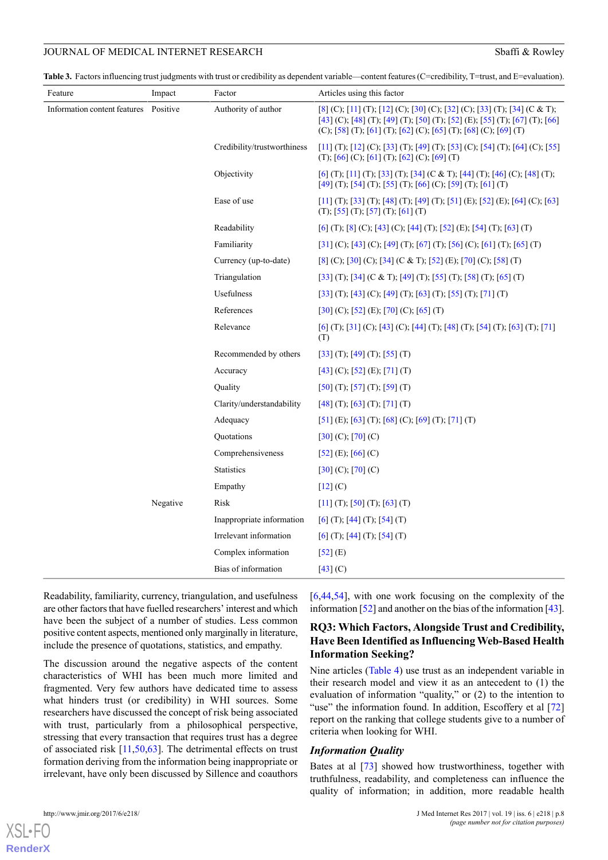<span id="page-7-0"></span>Table 3. Factors influencing trust judgments with trust or credibility as dependent variable—content features (C=credibility, T=trust, and E=evaluation).

| Feature                               | Impact   | Factor                      | Articles using this factor                                                                                                                                                                                                |
|---------------------------------------|----------|-----------------------------|---------------------------------------------------------------------------------------------------------------------------------------------------------------------------------------------------------------------------|
| Information content features Positive |          | Authority of author         | [8] (C); [11] (T); [12] (C); [30] (C); [32] (C); [33] (T); [34] (C & T);<br>[43] (C); [48] (T); [49] (T); [50] (T); [52] (E); [55] (T); [67] (T); [66]<br>(C); [58] (T); [61] (T); [62] (C); [65] (T); [68] (C); [69] (T) |
|                                       |          | Credibility/trustworthiness | [11] (T); [12] (C); [33] (T); [49] (T); [53] (C); [54] (T); [64] (C); [55]<br>(T); $[66]$ (C); $[61]$ (T); $[62]$ (C); $[69]$ (T)                                                                                         |
|                                       |          | Objectivity                 | [6] (T); [11] (T); [33] (T); [34] (C & T); [44] (T); [46] (C); [48] (T);<br>[49] (T); [54] (T); [55] (T); [66] (C); [59] (T); [61] (T)                                                                                    |
|                                       |          | Ease of use                 | [11] (T); [33] (T); [48] (T); [49] (T); [51] (E); [52] (E); [64] (C); [63]<br>(T); [55] (T); [57] (T); [61] (T)                                                                                                           |
|                                       |          | Readability                 | [6] (T); [8] (C); [43] (C); [44] (T); [52] (E); [54] (T); [63] (T)                                                                                                                                                        |
|                                       |          | Familiarity                 | [31] (C); [43] (C); [49] (T); [67] (T); [56] (C); [61] (T); [65] (T)                                                                                                                                                      |
|                                       |          | Currency (up-to-date)       | [8] (C); [30] (C); [34] (C & T); [52] (E); [70] (C); [58] (T)                                                                                                                                                             |
|                                       |          | Triangulation               | [33] (T); [34] (C & T); [49] (T); [55] (T); [58] (T); [65] (T)                                                                                                                                                            |
|                                       |          | Usefulness                  | [33] (T); [43] (C); [49] (T); [63] (T); [55] (T); [71] (T)                                                                                                                                                                |
|                                       |          | References                  | $[30]$ (C); [52] (E); [70] (C); [65] (T)                                                                                                                                                                                  |
|                                       |          | Relevance                   | [6] (T); [31] (C); [43] (C); [44] (T); [48] (T); [54] (T); [63] (T); [71]<br>(T)                                                                                                                                          |
|                                       |          | Recommended by others       | $[33]$ (T); [49] (T); [55] (T)                                                                                                                                                                                            |
|                                       |          | Accuracy                    | $[43]$ (C); [52] (E); [71] (T)                                                                                                                                                                                            |
|                                       |          | Quality                     | $[50]$ (T); [57] (T); [59] (T)                                                                                                                                                                                            |
|                                       |          | Clarity/understandability   | $[48]$ (T); $[63]$ (T); $[71]$ (T)                                                                                                                                                                                        |
|                                       |          | Adequacy                    | [51] (E); [63] (T); [68] (C); [69] (T); [71] (T)                                                                                                                                                                          |
|                                       |          | Quotations                  | $[30]$ (C); $[70]$ (C)                                                                                                                                                                                                    |
|                                       |          | Comprehensiveness           | $[52]$ (E); $[66]$ (C)                                                                                                                                                                                                    |
|                                       |          | <b>Statistics</b>           | $[30]$ (C); $[70]$ (C)                                                                                                                                                                                                    |
|                                       |          | Empathy                     | [12] (C)                                                                                                                                                                                                                  |
|                                       | Negative | Risk                        | $[11]$ (T); $[50]$ (T); $[63]$ (T)                                                                                                                                                                                        |
|                                       |          | Inappropriate information   | $[6]$ (T); [44] (T); [54] (T)                                                                                                                                                                                             |
|                                       |          | Irrelevant information      | $[6]$ (T), $[44]$ (T), $[54]$ (T)                                                                                                                                                                                         |
|                                       |          | Complex information         | $[52]$ (E)                                                                                                                                                                                                                |
|                                       |          | Bias of information         | $[43]$ (C)                                                                                                                                                                                                                |

Readability, familiarity, currency, triangulation, and usefulness are other factors that have fuelled researchers' interest and which have been the subject of a number of studies. Less common positive content aspects, mentioned only marginally in literature, include the presence of quotations, statistics, and empathy.

The discussion around the negative aspects of the content characteristics of WHI has been much more limited and fragmented. Very few authors have dedicated time to assess what hinders trust (or credibility) in WHI sources. Some researchers have discussed the concept of risk being associated with trust, particularly from a philosophical perspective, stressing that every transaction that requires trust has a degree of associated risk [[11,](#page-12-1)[50](#page-13-12)[,63](#page-13-25)]. The detrimental effects on trust formation deriving from the information being inappropriate or irrelevant, have only been discussed by Sillence and coauthors

[[6](#page-11-7)[,44](#page-13-6),[54\]](#page-13-16), with one work focusing on the complexity of the information [\[52](#page-13-14)] and another on the bias of the information [\[43](#page-13-5)].

# **RQ3: Which Factors, Alongside Trust and Credibility, Have Been Identified as Influencing Web-Based Health Information Seeking?**

Nine articles [\(Table 4](#page-8-0)) use trust as an independent variable in their research model and view it as an antecedent to (1) the evaluation of information "quality," or (2) to the intention to "use" the information found. In addition, Escoffery et al [\[72](#page-14-7)] report on the ranking that college students give to a number of criteria when looking for WHI.

#### *Information Quality*

Bates at al [\[73](#page-14-8)] showed how trustworthiness, together with truthfulness, readability, and completeness can influence the quality of information; in addition, more readable health

 $XS$ l • FC **[RenderX](http://www.renderx.com/)**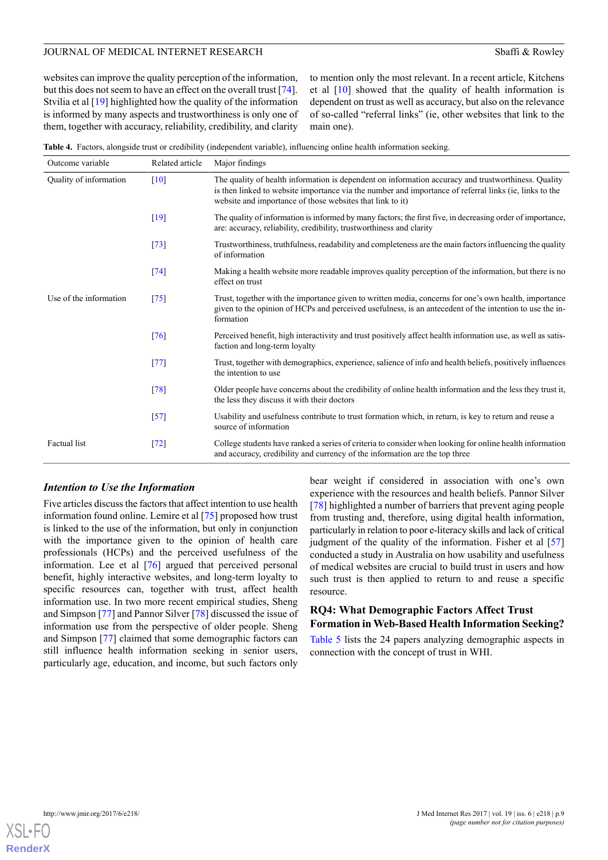websites can improve the quality perception of the information, but this does not seem to have an effect on the overall trust [[74\]](#page-14-9). Stvilia et al [[19\]](#page-12-7) highlighted how the quality of the information is informed by many aspects and trustworthiness is only one of them, together with accuracy, reliability, credibility, and clarity to mention only the most relevant. In a recent article, Kitchens et al  $[10]$  $[10]$  showed that the quality of health information is dependent on trust as well as accuracy, but also on the relevance of so-called "referral links" (ie, other websites that link to the main one).

<span id="page-8-0"></span>**Table 4.** Factors, alongside trust or credibility (independent variable), influencing online health information seeking.

| Outcome variable       | Related article | Major findings                                                                                                                                                                                                                                                             |
|------------------------|-----------------|----------------------------------------------------------------------------------------------------------------------------------------------------------------------------------------------------------------------------------------------------------------------------|
| Quality of information | $[10]$          | The quality of health information is dependent on information accuracy and trustworthiness. Quality<br>is then linked to website importance via the number and importance of referral links (ie, links to the<br>website and importance of those websites that link to it) |
|                        | $[19]$          | The quality of information is informed by many factors; the first five, in decreasing order of importance,<br>are: accuracy, reliability, credibility, trustworthiness and clarity                                                                                         |
|                        | $[73]$          | Trustworthiness, truthfulness, readability and completeness are the main factors influencing the quality<br>of information                                                                                                                                                 |
|                        | $[74]$          | Making a health website more readable improves quality perception of the information, but there is no<br>effect on trust                                                                                                                                                   |
| Use of the information | $[75]$          | Trust, together with the importance given to written media, concerns for one's own health, importance<br>given to the opinion of HCPs and perceived usefulness, is an antecedent of the intention to use the in-<br>formation                                              |
|                        | $[76]$          | Perceived benefit, high interactivity and trust positively affect health information use, as well as satis-<br>faction and long-term loyalty                                                                                                                               |
|                        | $[77]$          | Trust, together with demographics, experience, salience of info and health beliefs, positively influences<br>the intention to use                                                                                                                                          |
|                        | $[78]$          | Older people have concerns about the credibility of online health information and the less they trust it,<br>the less they discuss it with their doctors                                                                                                                   |
|                        | $[57]$          | Usability and usefulness contribute to trust formation which, in return, is key to return and reuse a<br>source of information                                                                                                                                             |
| Factual list           | $[72]$          | College students have ranked a series of criteria to consider when looking for online health information<br>and accuracy, credibility and currency of the information are the top three                                                                                    |

#### *Intention to Use the Information*

Five articles discuss the factors that affect intention to use health information found online. Lemire et al [\[75](#page-14-10)] proposed how trust is linked to the use of the information, but only in conjunction with the importance given to the opinion of health care professionals (HCPs) and the perceived usefulness of the information. Lee et al [\[76](#page-14-11)] argued that perceived personal benefit, highly interactive websites, and long-term loyalty to specific resources can, together with trust, affect health information use. In two more recent empirical studies, Sheng and Simpson [[77\]](#page-14-12) and Pannor Silver [\[78](#page-14-13)] discussed the issue of information use from the perspective of older people. Sheng and Simpson [[77\]](#page-14-12) claimed that some demographic factors can still influence health information seeking in senior users, particularly age, education, and income, but such factors only

bear weight if considered in association with one's own experience with the resources and health beliefs. Pannor Silver [[78\]](#page-14-13) highlighted a number of barriers that prevent aging people from trusting and, therefore, using digital health information, particularly in relation to poor e-literacy skills and lack of critical judgment of the quality of the information. Fisher et al [\[57](#page-13-19)] conducted a study in Australia on how usability and usefulness of medical websites are crucial to build trust in users and how such trust is then applied to return to and reuse a specific resource.

# **RQ4: What Demographic Factors Affect Trust Formation in Web-Based Health Information Seeking?**

[Table 5](#page-9-0) lists the 24 papers analyzing demographic aspects in connection with the concept of trust in WHI.

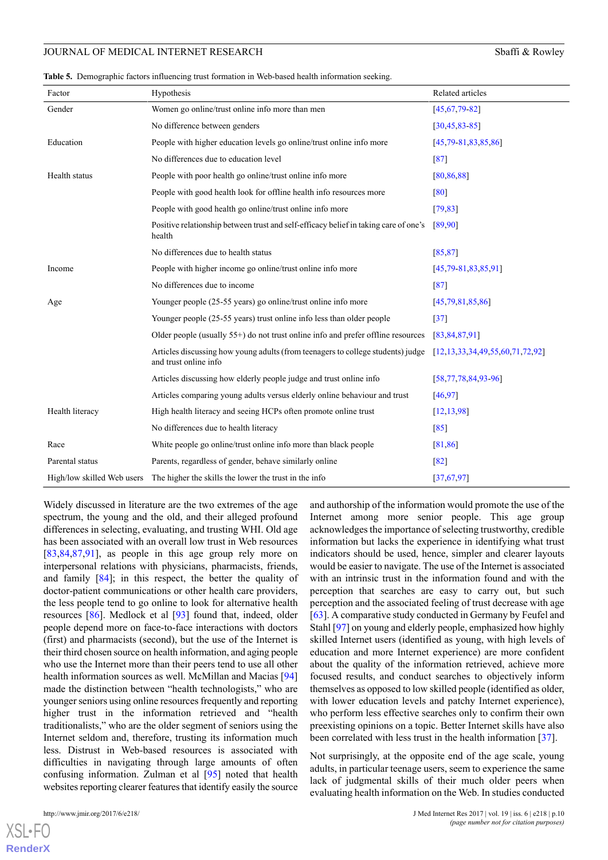<span id="page-9-0"></span>

|  | Table 5. Demographic factors influencing trust formation in Web-based health information seeking. |  |  |  |  |  |  |  |
|--|---------------------------------------------------------------------------------------------------|--|--|--|--|--|--|--|
|--|---------------------------------------------------------------------------------------------------|--|--|--|--|--|--|--|

| Factor                     | Hypothesis                                                                                               | Related articles                           |
|----------------------------|----------------------------------------------------------------------------------------------------------|--------------------------------------------|
| Gender                     | Women go online/trust online info more than men                                                          | [45, 67, 79, 82]                           |
|                            | No difference between genders                                                                            | [30, 45, 83, 85]                           |
| Education                  | People with higher education levels go online/trust online info more                                     | $[45,79-81,83,85,86]$                      |
|                            | No differences due to education level                                                                    | $[87]$                                     |
| Health status              | People with poor health go online/trust online info more                                                 | [80, 86, 88]                               |
|                            | People with good health look for offline health info resources more                                      | [80]                                       |
|                            | People with good health go online/trust online info more                                                 | [79, 83]                                   |
|                            | Positive relationship between trust and self-efficacy belief in taking care of one's<br>health           | [89,90]                                    |
|                            | No differences due to health status                                                                      | [85, 87]                                   |
| Income                     | People with higher income go online/trust online info more                                               | $[45,79-81,83,85,91]$                      |
|                            | No differences due to income                                                                             | $[87]$                                     |
| Age                        | Younger people (25-55 years) go online/trust online info more                                            | [45,79,81,85,86]                           |
|                            | Younger people (25-55 years) trust online info less than older people                                    | $[37]$                                     |
|                            | Older people (usually $55+$ ) do not trust online info and prefer offline resources                      | [83, 84, 87, 91]                           |
|                            | Articles discussing how young adults (from teenagers to college students) judge<br>and trust online info | $[12, 13, 33, 34, 49, 55, 60, 71, 72, 92]$ |
|                            | Articles discussing how elderly people judge and trust online info                                       | [58, 77, 78, 84, 93, 96]                   |
|                            | Articles comparing young adults versus elderly online behaviour and trust                                | [46, 97]                                   |
| Health literacy            | High health literacy and seeing HCPs often promote online trust                                          | [12, 13, 98]                               |
|                            | No differences due to health literacy                                                                    | [85]                                       |
| Race                       | White people go online/trust online info more than black people                                          | [81, 86]                                   |
| Parental status            | Parents, regardless of gender, behave similarly online                                                   | [82]                                       |
| High/low skilled Web users | The higher the skills the lower the trust in the info                                                    | [37, 67, 97]                               |

Widely discussed in literature are the two extremes of the age spectrum, the young and the old, and their alleged profound differences in selecting, evaluating, and trusting WHI. Old age has been associated with an overall low trust in Web resources [[83](#page-14-16)[,84](#page-14-26),[87](#page-14-20)[,91](#page-14-25)], as people in this age group rely more on interpersonal relations with physicians, pharmacists, friends, and family [[84\]](#page-14-26); in this respect, the better the quality of doctor-patient communications or other health care providers, the less people tend to go online to look for alternative health resources [[86\]](#page-14-19). Medlock et al [\[93](#page-15-1)] found that, indeed, older people depend more on face-to-face interactions with doctors (first) and pharmacists (second), but the use of the Internet is their third chosen source on health information, and aging people who use the Internet more than their peers tend to use all other health information sources as well. McMillan and Macias [\[94](#page-15-5)] made the distinction between "health technologists," who are younger seniors using online resources frequently and reporting higher trust in the information retrieved and "health traditionalists," who are the older segment of seniors using the Internet seldom and, therefore, trusting its information much less. Distrust in Web-based resources is associated with difficulties in navigating through large amounts of often confusing information. Zulman et al [\[95](#page-15-6)] noted that health websites reporting clearer features that identify easily the source

 $X$ SL•FO **[RenderX](http://www.renderx.com/)** and authorship of the information would promote the use of the Internet among more senior people. This age group acknowledges the importance of selecting trustworthy, credible information but lacks the experience in identifying what trust indicators should be used, hence, simpler and clearer layouts would be easier to navigate. The use of the Internet is associated with an intrinsic trust in the information found and with the perception that searches are easy to carry out, but such perception and the associated feeling of trust decrease with age [[63\]](#page-13-25). A comparative study conducted in Germany by Feufel and Stahl [\[97](#page-15-3)] on young and elderly people, emphasized how highly skilled Internet users (identified as young, with high levels of education and more Internet experience) are more confident about the quality of the information retrieved, achieve more focused results, and conduct searches to objectively inform themselves as opposed to low skilled people (identified as older, with lower education levels and patchy Internet experience), who perform less effective searches only to confirm their own preexisting opinions on a topic. Better Internet skills have also been correlated with less trust in the health information [\[37](#page-12-19)].

Not surprisingly, at the opposite end of the age scale, young adults, in particular teenage users, seem to experience the same lack of judgmental skills of their much older peers when evaluating health information on the Web. In studies conducted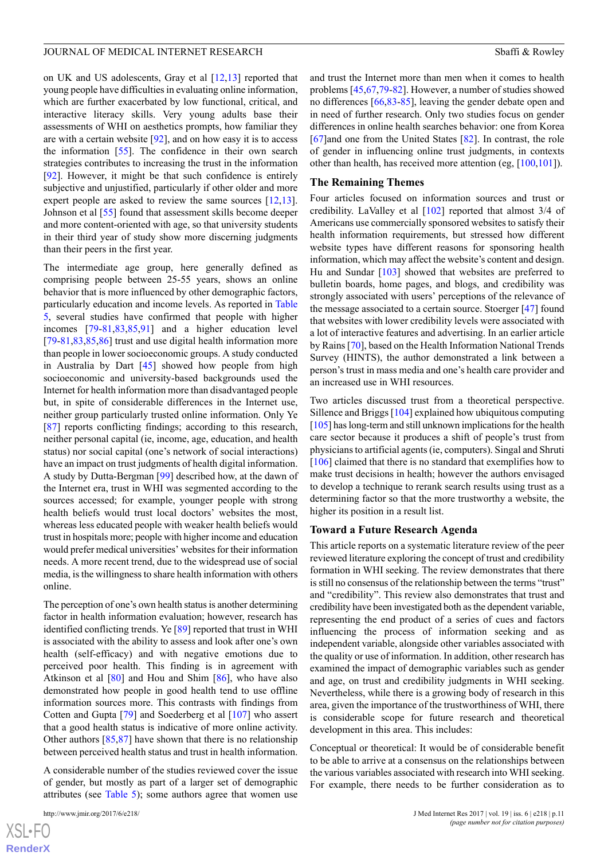on UK and US adolescents, Gray et al [\[12](#page-12-22),[13\]](#page-12-23) reported that young people have difficulties in evaluating online information, which are further exacerbated by low functional, critical, and interactive literacy skills. Very young adults base their assessments of WHI on aesthetics prompts, how familiar they are with a certain website [[92\]](#page-15-0), and on how easy it is to access the information [[55\]](#page-13-17). The confidence in their own search strategies contributes to increasing the trust in the information [[92\]](#page-15-0). However, it might be that such confidence is entirely subjective and unjustified, particularly if other older and more expert people are asked to review the same sources [\[12](#page-12-22),[13\]](#page-12-23). Johnson et al [[55\]](#page-13-17) found that assessment skills become deeper and more content-oriented with age, so that university students in their third year of study show more discerning judgments than their peers in the first year.

The intermediate age group, here generally defined as comprising people between 25-55 years, shows an online behavior that is more influenced by other demographic factors, particularly education and income levels. As reported in [Table](#page-9-0) [5,](#page-9-0) several studies have confirmed that people with higher incomes [[79-](#page-14-14)[81](#page-14-18),[83,](#page-14-16)[85](#page-14-17),[91\]](#page-14-25) and a higher education level [[79](#page-14-14)[-81](#page-14-18),[83,](#page-14-16)[85](#page-14-17),[86\]](#page-14-19) trust and use digital health information more than people in lower socioeconomic groups. A study conducted in Australia by Dart [[45\]](#page-13-7) showed how people from high socioeconomic and university-based backgrounds used the Internet for health information more than disadvantaged people but, in spite of considerable differences in the Internet use, neither group particularly trusted online information. Only Ye [[87\]](#page-14-20) reports conflicting findings; according to this research, neither personal capital (ie, income, age, education, and health status) nor social capital (one's network of social interactions) have an impact on trust judgments of health digital information. A study by Dutta-Bergman [[99\]](#page-15-7) described how, at the dawn of the Internet era, trust in WHI was segmented according to the sources accessed; for example, younger people with strong health beliefs would trust local doctors' websites the most, whereas less educated people with weaker health beliefs would trust in hospitals more; people with higher income and education would prefer medical universities' websites for their information needs. A more recent trend, due to the widespread use of social media, is the willingness to share health information with others online.

The perception of one's own health status is another determining factor in health information evaluation; however, research has identified conflicting trends. Ye [[89\]](#page-14-23) reported that trust in WHI is associated with the ability to assess and look after one's own health (self-efficacy) and with negative emotions due to perceived poor health. This finding is in agreement with Atkinson et al [[80\]](#page-14-21) and Hou and Shim [[86\]](#page-14-19), who have also demonstrated how people in good health tend to use offline information sources more. This contrasts with findings from Cotten and Gupta [[79\]](#page-14-14) and Soederberg et al [\[107](#page-15-8)] who assert that a good health status is indicative of more online activity. Other authors  $[85,87]$  $[85,87]$  $[85,87]$  have shown that there is no relationship between perceived health status and trust in health information.

A considerable number of the studies reviewed cover the issue of gender, but mostly as part of a larger set of demographic attributes (see [Table 5\)](#page-9-0); some authors agree that women use

[XSL](http://www.w3.org/Style/XSL)•FO **[RenderX](http://www.renderx.com/)**

and trust the Internet more than men when it comes to health problems [\[45](#page-13-7),[67,](#page-14-2)[79](#page-14-14)[-82](#page-14-15)]. However, a number of studies showed no differences [\[66](#page-14-1),[83](#page-14-16)[-85](#page-14-17)], leaving the gender debate open and in need of further research. Only two studies focus on gender differences in online health searches behavior: one from Korea [[67\]](#page-14-2)and one from the United States [\[82](#page-14-15)]. In contrast, the role of gender in influencing online trust judgments, in contexts other than health, has received more attention (eg, [[100](#page-15-9),[101\]](#page-15-10)).

#### **The Remaining Themes**

Four articles focused on information sources and trust or credibility. LaValley et al [\[102](#page-15-11)] reported that almost 3/4 of Americans use commercially sponsored websites to satisfy their health information requirements, but stressed how different website types have different reasons for sponsoring health information, which may affect the website's content and design. Hu and Sundar [[103\]](#page-15-12) showed that websites are preferred to bulletin boards, home pages, and blogs, and credibility was strongly associated with users' perceptions of the relevance of the message associated to a certain source. Stoerger [[47\]](#page-13-9) found that websites with lower credibility levels were associated with a lot of interactive features and advertising. In an earlier article by Rains [\[70](#page-14-5)], based on the Health Information National Trends Survey (HINTS), the author demonstrated a link between a person's trust in mass media and one's health care provider and an increased use in WHI resources.

Two articles discussed trust from a theoretical perspective. Sillence and Briggs [[104\]](#page-15-13) explained how ubiquitous computing [[105\]](#page-15-14) has long-term and still unknown implications for the health care sector because it produces a shift of people's trust from physicians to artificial agents (ie, computers). Singal and Shruti [[106\]](#page-15-15) claimed that there is no standard that exemplifies how to make trust decisions in health; however the authors envisaged to develop a technique to rerank search results using trust as a determining factor so that the more trustworthy a website, the higher its position in a result list.

#### **Toward a Future Research Agenda**

This article reports on a systematic literature review of the peer reviewed literature exploring the concept of trust and credibility formation in WHI seeking. The review demonstrates that there is still no consensus of the relationship between the terms "trust" and "credibility". This review also demonstrates that trust and credibility have been investigated both as the dependent variable, representing the end product of a series of cues and factors influencing the process of information seeking and as independent variable, alongside other variables associated with the quality or use of information. In addition, other research has examined the impact of demographic variables such as gender and age, on trust and credibility judgments in WHI seeking. Nevertheless, while there is a growing body of research in this area, given the importance of the trustworthiness of WHI, there is considerable scope for future research and theoretical development in this area. This includes:

Conceptual or theoretical: It would be of considerable benefit to be able to arrive at a consensus on the relationships between the various variables associated with research into WHI seeking. For example, there needs to be further consideration as to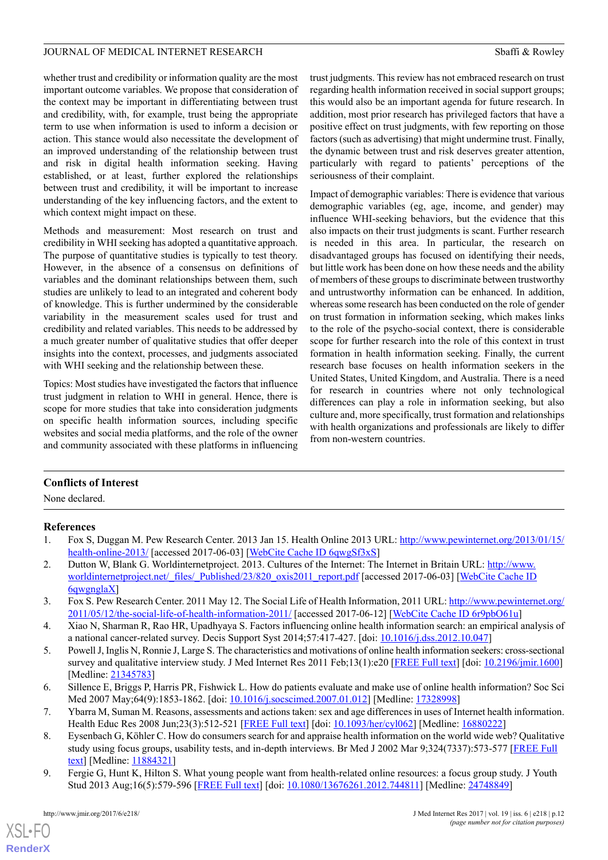whether trust and credibility or information quality are the most important outcome variables. We propose that consideration of the context may be important in differentiating between trust and credibility, with, for example, trust being the appropriate term to use when information is used to inform a decision or action. This stance would also necessitate the development of an improved understanding of the relationship between trust and risk in digital health information seeking. Having established, or at least, further explored the relationships between trust and credibility, it will be important to increase understanding of the key influencing factors, and the extent to which context might impact on these.

Methods and measurement: Most research on trust and credibility in WHI seeking has adopted a quantitative approach. The purpose of quantitative studies is typically to test theory. However, in the absence of a consensus on definitions of variables and the dominant relationships between them, such studies are unlikely to lead to an integrated and coherent body of knowledge. This is further undermined by the considerable variability in the measurement scales used for trust and credibility and related variables. This needs to be addressed by a much greater number of qualitative studies that offer deeper insights into the context, processes, and judgments associated with WHI seeking and the relationship between these.

Topics: Most studies have investigated the factors that influence trust judgment in relation to WHI in general. Hence, there is scope for more studies that take into consideration judgments on specific health information sources, including specific websites and social media platforms, and the role of the owner and community associated with these platforms in influencing

trust judgments. This review has not embraced research on trust regarding health information received in social support groups; this would also be an important agenda for future research. In addition, most prior research has privileged factors that have a positive effect on trust judgments, with few reporting on those factors (such as advertising) that might undermine trust. Finally, the dynamic between trust and risk deserves greater attention, particularly with regard to patients' perceptions of the seriousness of their complaint.

Impact of demographic variables: There is evidence that various demographic variables (eg, age, income, and gender) may influence WHI-seeking behaviors, but the evidence that this also impacts on their trust judgments is scant. Further research is needed in this area. In particular, the research on disadvantaged groups has focused on identifying their needs, but little work has been done on how these needs and the ability of members of these groups to discriminate between trustworthy and untrustworthy information can be enhanced. In addition, whereas some research has been conducted on the role of gender on trust formation in information seeking, which makes links to the role of the psycho-social context, there is considerable scope for further research into the role of this context in trust formation in health information seeking. Finally, the current research base focuses on health information seekers in the United States, United Kingdom, and Australia. There is a need for research in countries where not only technological differences can play a role in information seeking, but also culture and, more specifically, trust formation and relationships with health organizations and professionals are likely to differ from non-western countries.

# <span id="page-11-0"></span>**Conflicts of Interest**

<span id="page-11-1"></span>None declared.

# **References**

- <span id="page-11-2"></span>1. Fox S, Duggan M. Pew Research Center. 2013 Jan 15. Health Online 2013 URL: [http://www.pewinternet.org/2013/01/15/](http://www.pewinternet.org/2013/01/15/health-online-2013/) [health-online-2013/](http://www.pewinternet.org/2013/01/15/health-online-2013/) [accessed 2017-06-03] [\[WebCite Cache ID 6qwgSf3xS\]](http://www.webcitation.org/6qwgSf3xS)
- <span id="page-11-3"></span>2. Dutton W, Blank G. Worldinternetproject. 2013. Cultures of the Internet: The Internet in Britain URL: [http://www.](http://www.worldinternetproject.net/_files/_Published/23/820_oxis2011_report.pdf) [worldinternetproject.net/\\_files/\\_Published/23/820\\_oxis2011\\_report.pdf](http://www.worldinternetproject.net/_files/_Published/23/820_oxis2011_report.pdf) [accessed 2017-06-03] [\[WebCite Cache ID](http://www.webcitation.org/6qwgnglaX) [6qwgnglaX](http://www.webcitation.org/6qwgnglaX)]
- <span id="page-11-4"></span>3. Fox S. Pew Research Center. 2011 May 12. The Social Life of Health Information, 2011 URL: [http://www.pewinternet.org/](http://www.pewinternet.org/2011/05/12/the-social-life-of-health-information-2011/) [2011/05/12/the-social-life-of-health-information-2011/](http://www.pewinternet.org/2011/05/12/the-social-life-of-health-information-2011/) [accessed 2017-06-12] [[WebCite Cache ID 6r9pbO61u\]](http://www.webcitation.org/6r9pbO61u)
- <span id="page-11-7"></span>4. Xiao N, Sharman R, Rao HR, Upadhyaya S. Factors influencing online health information search: an empirical analysis of a national cancer-related survey. Decis Support Syst 2014;57:417-427. [doi: [10.1016/j.dss.2012.10.047](http://dx.doi.org/10.1016/j.dss.2012.10.047)]
- <span id="page-11-6"></span><span id="page-11-5"></span>5. Powell J, Inglis N, Ronnie J, Large S. The characteristics and motivations of online health information seekers: cross-sectional survey and qualitative interview study. J Med Internet Res 2011 Feb;13(1):e20 [\[FREE Full text\]](http://www.jmir.org/2011/1/e20/) [doi: [10.2196/jmir.1600\]](http://dx.doi.org/10.2196/jmir.1600) [Medline: [21345783](http://www.ncbi.nlm.nih.gov/entrez/query.fcgi?cmd=Retrieve&db=PubMed&list_uids=21345783&dopt=Abstract)]
- 6. Sillence E, Briggs P, Harris PR, Fishwick L. How do patients evaluate and make use of online health information? Soc Sci Med 2007 May;64(9):1853-1862. [doi: [10.1016/j.socscimed.2007.01.012\]](http://dx.doi.org/10.1016/j.socscimed.2007.01.012) [Medline: [17328998](http://www.ncbi.nlm.nih.gov/entrez/query.fcgi?cmd=Retrieve&db=PubMed&list_uids=17328998&dopt=Abstract)]
- 7. Ybarra M, Suman M. Reasons, assessments and actions taken: sex and age differences in uses of Internet health information. Health Educ Res 2008 Jun;23(3):512-521 [[FREE Full text](http://her.oxfordjournals.org/cgi/pmidlookup?view=long&pmid=16880222)] [doi: [10.1093/her/cyl062\]](http://dx.doi.org/10.1093/her/cyl062) [Medline: [16880222](http://www.ncbi.nlm.nih.gov/entrez/query.fcgi?cmd=Retrieve&db=PubMed&list_uids=16880222&dopt=Abstract)]
- 8. Eysenbach G, Köhler C. How do consumers search for and appraise health information on the world wide web? Qualitative study using focus groups, usability tests, and in-depth interviews. Br Med J 2002 Mar 9;324(7337):573-577 [[FREE Full](http://europepmc.org/abstract/MED/11884321) [text\]](http://europepmc.org/abstract/MED/11884321) [Medline: [11884321\]](http://www.ncbi.nlm.nih.gov/entrez/query.fcgi?cmd=Retrieve&db=PubMed&list_uids=11884321&dopt=Abstract)
- 9. Fergie G, Hunt K, Hilton S. What young people want from health-related online resources: a focus group study. J Youth Stud 2013 Aug;16(5):579-596 [\[FREE Full text\]](http://www.pubmedcentral.nih.gov/articlerender.fcgi?artid=3982905&tool=pmcentrez&rendertype=abstract) [doi: [10.1080/13676261.2012.744811](http://dx.doi.org/10.1080/13676261.2012.744811)] [Medline: [24748849\]](http://www.ncbi.nlm.nih.gov/entrez/query.fcgi?cmd=Retrieve&db=PubMed&list_uids=24748849&dopt=Abstract)

 $XS$  $\cdot$ FC **[RenderX](http://www.renderx.com/)**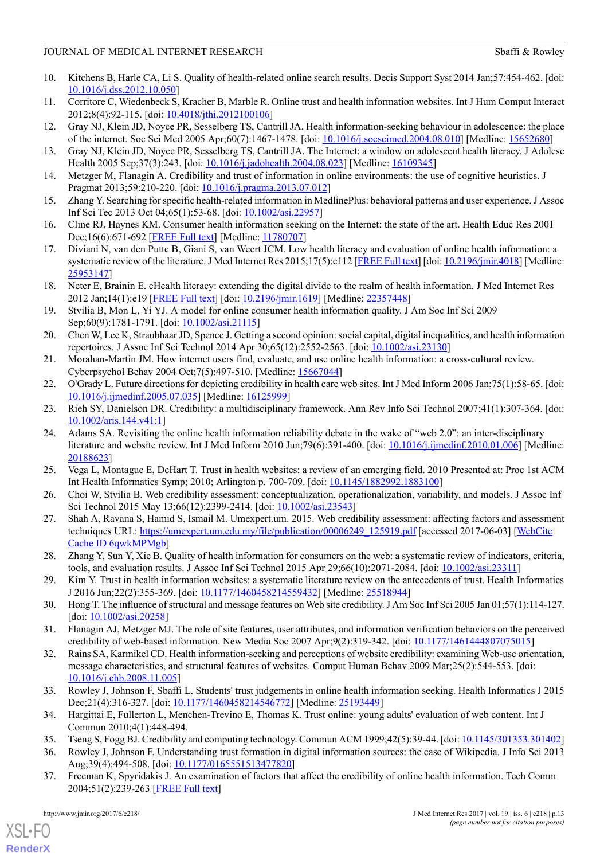- <span id="page-12-0"></span>10. Kitchens B, Harle CA, Li S. Quality of health-related online search results. Decis Support Syst 2014 Jan;57:454-462. [doi: [10.1016/j.dss.2012.10.050](http://dx.doi.org/10.1016/j.dss.2012.10.050)]
- <span id="page-12-22"></span><span id="page-12-1"></span>11. Corritore C, Wiedenbeck S, Kracher B, Marble R. Online trust and health information websites. Int J Hum Comput Interact 2012;8(4):92-115. [doi: [10.4018/jthi.2012100106](http://dx.doi.org/10.4018/jthi.2012100106)]
- <span id="page-12-23"></span>12. Gray NJ, Klein JD, Noyce PR, Sesselberg TS, Cantrill JA. Health information-seeking behaviour in adolescence: the place of the internet. Soc Sci Med 2005 Apr;60(7):1467-1478. [doi: [10.1016/j.socscimed.2004.08.010\]](http://dx.doi.org/10.1016/j.socscimed.2004.08.010) [Medline: [15652680](http://www.ncbi.nlm.nih.gov/entrez/query.fcgi?cmd=Retrieve&db=PubMed&list_uids=15652680&dopt=Abstract)]
- <span id="page-12-2"></span>13. Gray NJ, Klein JD, Noyce PR, Sesselberg TS, Cantrill JA. The Internet: a window on adolescent health literacy. J Adolesc Health 2005 Sep;37(3):243. [doi: [10.1016/j.jadohealth.2004.08.023](http://dx.doi.org/10.1016/j.jadohealth.2004.08.023)] [Medline: [16109345](http://www.ncbi.nlm.nih.gov/entrez/query.fcgi?cmd=Retrieve&db=PubMed&list_uids=16109345&dopt=Abstract)]
- <span id="page-12-3"></span>14. Metzger M, Flanagin A. Credibility and trust of information in online environments: the use of cognitive heuristics. J Pragmat 2013;59:210-220. [doi: [10.1016/j.pragma.2013.07.012](http://dx.doi.org/10.1016/j.pragma.2013.07.012)]
- <span id="page-12-4"></span>15. Zhang Y. Searching for specific health-related information in MedlinePlus: behavioral patterns and user experience. J Assoc Inf Sci Tec 2013 Oct 04;65(1):53-68. [doi: [10.1002/asi.22957\]](http://dx.doi.org/10.1002/asi.22957)
- <span id="page-12-5"></span>16. Cline RJ, Haynes KM. Consumer health information seeking on the Internet: the state of the art. Health Educ Res 2001 Dec;16(6):671-692 [[FREE Full text](http://her.oxfordjournals.org/cgi/pmidlookup?view=long&pmid=11780707)] [Medline: [11780707\]](http://www.ncbi.nlm.nih.gov/entrez/query.fcgi?cmd=Retrieve&db=PubMed&list_uids=11780707&dopt=Abstract)
- <span id="page-12-6"></span>17. Diviani N, van den Putte B, Giani S, van Weert JCM. Low health literacy and evaluation of online health information: a systematic review of the literature. J Med Internet Res 2015;17(5):e112 [\[FREE Full text](http://www.jmir.org/2015/5/e112/)] [doi: [10.2196/jmir.4018](http://dx.doi.org/10.2196/jmir.4018)] [Medline: [25953147](http://www.ncbi.nlm.nih.gov/entrez/query.fcgi?cmd=Retrieve&db=PubMed&list_uids=25953147&dopt=Abstract)]
- <span id="page-12-7"></span>18. Neter E, Brainin E. eHealth literacy: extending the digital divide to the realm of health information. J Med Internet Res 2012 Jan;14(1):e19 [[FREE Full text](http://www.jmir.org/2012/1/e19/)] [doi: [10.2196/jmir.1619](http://dx.doi.org/10.2196/jmir.1619)] [Medline: [22357448](http://www.ncbi.nlm.nih.gov/entrez/query.fcgi?cmd=Retrieve&db=PubMed&list_uids=22357448&dopt=Abstract)]
- <span id="page-12-8"></span>19. Stvilia B, Mon L, Yi YJ. A model for online consumer health information quality. J Am Soc Inf Sci 2009 Sep;60(9):1781-1791. [doi: [10.1002/asi.21115\]](http://dx.doi.org/10.1002/asi.21115)
- <span id="page-12-9"></span>20. Chen W, Lee K, Straubhaar JD, Spence J. Getting a second opinion: social capital, digital inequalities, and health information repertoires. J Assoc Inf Sci Technol 2014 Apr 30;65(12):2552-2563. [doi: [10.1002/asi.23130\]](http://dx.doi.org/10.1002/asi.23130)
- <span id="page-12-20"></span>21. Morahan-Martin JM. How internet users find, evaluate, and use online health information: a cross-cultural review. Cyberpsychol Behav 2004 Oct;7(5):497-510. [Medline: [15667044\]](http://www.ncbi.nlm.nih.gov/entrez/query.fcgi?cmd=Retrieve&db=PubMed&list_uids=15667044&dopt=Abstract)
- 22. O'Grady L. Future directions for depicting credibility in health care web sites. Int J Med Inform 2006 Jan;75(1):58-65. [doi: [10.1016/j.ijmedinf.2005.07.035](http://dx.doi.org/10.1016/j.ijmedinf.2005.07.035)] [Medline: [16125999](http://www.ncbi.nlm.nih.gov/entrez/query.fcgi?cmd=Retrieve&db=PubMed&list_uids=16125999&dopt=Abstract)]
- 23. Rieh SY, Danielson DR. Credibility: a multidisciplinary framework. Ann Rev Info Sci Technol 2007;41(1):307-364. [doi: [10.1002/aris.144.v41:1\]](http://dx.doi.org/10.1002/aris.144.v41:1)
- <span id="page-12-11"></span><span id="page-12-10"></span>24. Adams SA. Revisiting the online health information reliability debate in the wake of "web 2.0": an inter-disciplinary literature and website review. Int J Med Inform 2010 Jun;79(6):391-400. [doi: [10.1016/j.ijmedinf.2010.01.006\]](http://dx.doi.org/10.1016/j.ijmedinf.2010.01.006) [Medline: [20188623](http://www.ncbi.nlm.nih.gov/entrez/query.fcgi?cmd=Retrieve&db=PubMed&list_uids=20188623&dopt=Abstract)]
- 25. Vega L, Montague E, DeHart T. Trust in health websites: a review of an emerging field. 2010 Presented at: Proc 1st ACM Int Health Informatics Symp; 2010; Arlington p. 700-709. [doi: [10.1145/1882992.1883100](http://dx.doi.org/10.1145/1882992.1883100)]
- 26. Choi W, Stvilia B. Web credibility assessment: conceptualization, operationalization, variability, and models. J Assoc Inf Sci Technol 2015 May 13;66(12):2399-2414. [doi: [10.1002/asi.23543](http://dx.doi.org/10.1002/asi.23543)]
- <span id="page-12-12"></span>27. Shah A, Ravana S, Hamid S, Ismail M. Umexpert.um. 2015. Web credibility assessment: affecting factors and assessment techniques URL: [https://umexpert.um.edu.my/file/publication/00006249\\_125919.pdf](https://umexpert.um.edu.my/file/publication/00006249_125919.pdf) [accessed 2017-06-03] [\[WebCite](http://www.webcitation.org/6qwkMPMgb) [Cache ID 6qwkMPMgb\]](http://www.webcitation.org/6qwkMPMgb)
- <span id="page-12-21"></span><span id="page-12-13"></span>28. Zhang Y, Sun Y, Xie B. Quality of health information for consumers on the web: a systematic review of indicators, criteria, tools, and evaluation results. J Assoc Inf Sci Technol 2015 Apr 29;66(10):2071-2084. [doi: [10.1002/asi.23311](http://dx.doi.org/10.1002/asi.23311)]
- <span id="page-12-14"></span>29. Kim Y. Trust in health information websites: a systematic literature review on the antecedents of trust. Health Informatics J 2016 Jun;22(2):355-369. [doi: [10.1177/1460458214559432](http://dx.doi.org/10.1177/1460458214559432)] [Medline: [25518944\]](http://www.ncbi.nlm.nih.gov/entrez/query.fcgi?cmd=Retrieve&db=PubMed&list_uids=25518944&dopt=Abstract)
- 30. Hong T. The influence of structural and message features on Web site credibility. J Am Soc Inf Sci 2005 Jan 01;57(1):114-127. [doi: [10.1002/asi.20258\]](http://dx.doi.org/10.1002/asi.20258)
- <span id="page-12-15"></span>31. Flanagin AJ, Metzger MJ. The role of site features, user attributes, and information verification behaviors on the perceived credibility of web-based information. New Media Soc 2007 Apr;9(2):319-342. [doi: [10.1177/1461444807075015](http://dx.doi.org/10.1177/1461444807075015)]
- <span id="page-12-17"></span><span id="page-12-16"></span>32. Rains SA, Karmikel CD. Health information-seeking and perceptions of website credibility: examining Web-use orientation, message characteristics, and structural features of websites. Comput Human Behav 2009 Mar;25(2):544-553. [doi: [10.1016/j.chb.2008.11.005\]](http://dx.doi.org/10.1016/j.chb.2008.11.005)
- <span id="page-12-19"></span><span id="page-12-18"></span>33. Rowley J, Johnson F, Sbaffi L. Students' trust judgements in online health information seeking. Health Informatics J 2015 Dec;21(4):316-327. [doi: [10.1177/1460458214546772](http://dx.doi.org/10.1177/1460458214546772)] [Medline: [25193449](http://www.ncbi.nlm.nih.gov/entrez/query.fcgi?cmd=Retrieve&db=PubMed&list_uids=25193449&dopt=Abstract)]
- 34. Hargittai E, Fullerton L, Menchen-Trevino E, Thomas K. Trust online: young adults' evaluation of web content. Int J Commun 2010;4(1):448-494.
- 35. Tseng S, Fogg BJ. Credibility and computing technology. Commun ACM 1999;42(5):39-44. [doi: [10.1145/301353.301402](http://dx.doi.org/10.1145/301353.301402)]
- 36. Rowley J, Johnson F. Understanding trust formation in digital information sources: the case of Wikipedia. J Info Sci 2013 Aug;39(4):494-508. [doi: [10.1177/0165551513477820\]](http://dx.doi.org/10.1177/0165551513477820)
- 37. Freeman K, Spyridakis J. An examination of factors that affect the credibility of online health information. Tech Comm 2004;51(2):239-263 [[FREE Full text](http://faculty.washington.edu/jansp/Publications/Freeman_Spyridakis_Credibility.pdf)]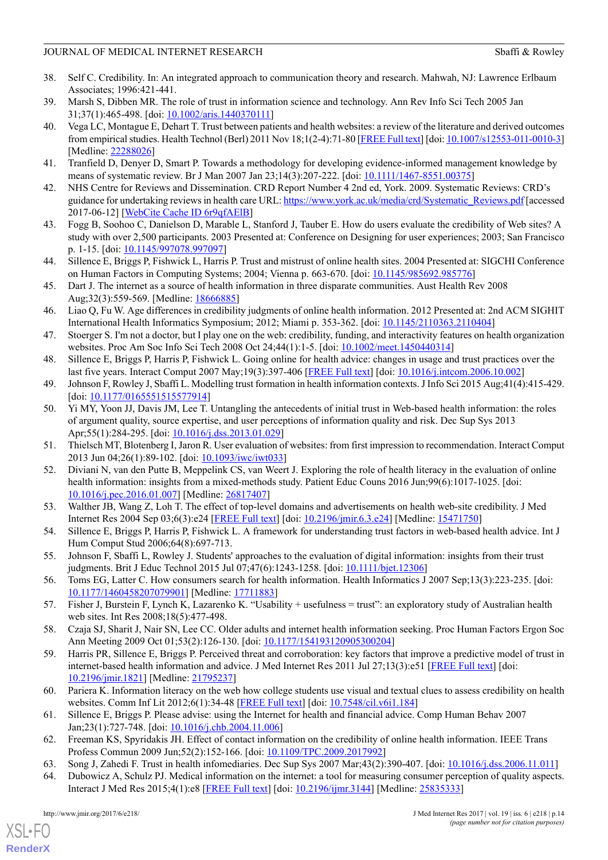- <span id="page-13-0"></span>38. Self C. Credibility. In: An integrated approach to communication theory and research. Mahwah, NJ: Lawrence Erlbaum Associates; 1996:421-441.
- <span id="page-13-2"></span><span id="page-13-1"></span>39. Marsh S, Dibben MR. The role of trust in information science and technology. Ann Rev Info Sci Tech 2005 Jan 31;37(1):465-498. [doi: [10.1002/aris.1440370111\]](http://dx.doi.org/10.1002/aris.1440370111)
- 40. Vega LC, Montague E, Dehart T. Trust between patients and health websites: a review of the literature and derived outcomes from empirical studies. Health Technol (Berl) 2011 Nov 18;1(2-4):71-80 [\[FREE Full text\]](http://europepmc.org/abstract/MED/22288026) [doi: [10.1007/s12553-011-0010-3\]](http://dx.doi.org/10.1007/s12553-011-0010-3) [Medline: [22288026](http://www.ncbi.nlm.nih.gov/entrez/query.fcgi?cmd=Retrieve&db=PubMed&list_uids=22288026&dopt=Abstract)]
- <span id="page-13-4"></span><span id="page-13-3"></span>41. Tranfield D, Denyer D, Smart P. Towards a methodology for developing evidence-informed management knowledge by means of systematic review. Br J Man 2007 Jan 23;14(3):207-222. [doi: [10.1111/1467-8551.00375\]](http://dx.doi.org/10.1111/1467-8551.00375)
- <span id="page-13-5"></span>42. NHS Centre for Reviews and Dissemination. CRD Report Number 4 2nd ed, York. 2009. Systematic Reviews: CRD's guidance for undertaking reviews in health care URL: [https://www.york.ac.uk/media/crd/Systematic\\_Reviews.pdf](https://www.york.ac.uk/media/crd/Systematic_Reviews.pdf) [accessed 2017-06-12] [\[WebCite Cache ID 6r9qfAElB](http://www.webcitation.org/6r9qfAElB)]
- <span id="page-13-6"></span>43. Fogg B, Soohoo C, Danielson D, Marable L, Stanford J, Tauber E. How do users evaluate the credibility of Web sites? A study with over 2,500 participants. 2003 Presented at: Conference on Designing for user experiences; 2003; San Francisco p. 1-15. [doi: [10.1145/997078.997097\]](http://dx.doi.org/10.1145/997078.997097)
- <span id="page-13-7"></span>44. Sillence E, Briggs P, Fishwick L, Harris P. Trust and mistrust of online health sites. 2004 Presented at: SIGCHI Conference on Human Factors in Computing Systems; 2004; Vienna p. 663-670. [doi: [10.1145/985692.985776](http://dx.doi.org/10.1145/985692.985776)]
- <span id="page-13-8"></span>45. Dart J. The internet as a source of health information in three disparate communities. Aust Health Rev 2008 Aug;32(3):559-569. [Medline: [18666885](http://www.ncbi.nlm.nih.gov/entrez/query.fcgi?cmd=Retrieve&db=PubMed&list_uids=18666885&dopt=Abstract)]
- <span id="page-13-9"></span>46. Liao Q, Fu W. Age differences in credibility judgments of online health information. 2012 Presented at: 2nd ACM SIGHIT International Health Informatics Symposium; 2012; Miami p. 353-362. [doi: [10.1145/2110363.2110404\]](http://dx.doi.org/10.1145/2110363.2110404)
- <span id="page-13-11"></span><span id="page-13-10"></span>47. Stoerger S. I'm not a doctor, but I play one on the web: credibility, funding, and interactivity features on health organization websites. Proc Am Soc Info Sci Tech 2008 Oct 24;44(1):1-5. [doi: [10.1002/meet.1450440314](http://dx.doi.org/10.1002/meet.1450440314)]
- <span id="page-13-12"></span>48. Sillence E, Briggs P, Harris P, Fishwick L. Going online for health advice: changes in usage and trust practices over the last five years. Interact Comput 2007 May;19(3):397-406 [[FREE Full text](http://www.sciencedirect.com/science/article/pii/S095354380600141X[)] [doi: [10.1016/j.intcom.2006.10.002](http://dx.doi.org/10.1016/j.intcom.2006.10.002)]
- 49. Johnson F, Rowley J, Sbaffi L. Modelling trust formation in health information contexts. J Info Sci 2015 Aug;41(4):415-429. [doi: [10.1177/0165551515577914\]](http://dx.doi.org/10.1177/0165551515577914)
- <span id="page-13-14"></span><span id="page-13-13"></span>50. Yi MY, Yoon JJ, Davis JM, Lee T. Untangling the antecedents of initial trust in Web-based health information: the roles of argument quality, source expertise, and user perceptions of information quality and risk. Dec Sup Sys 2013 Apr;55(1):284-295. [doi: [10.1016/j.dss.2013.01.029\]](http://dx.doi.org/10.1016/j.dss.2013.01.029)
- <span id="page-13-15"></span>51. Thielsch MT, Blotenberg I, Jaron R. User evaluation of websites: from first impression to recommendation. Interact Comput 2013 Jun 04;26(1):89-102. [doi: [10.1093/iwc/iwt033\]](http://dx.doi.org/10.1093/iwc/iwt033)
- <span id="page-13-16"></span>52. Diviani N, van den Putte B, Meppelink CS, van Weert J. Exploring the role of health literacy in the evaluation of online health information: insights from a mixed-methods study. Patient Educ Couns 2016 Jun;99(6):1017-1025. [doi: [10.1016/j.pec.2016.01.007](http://dx.doi.org/10.1016/j.pec.2016.01.007)] [Medline: [26817407](http://www.ncbi.nlm.nih.gov/entrez/query.fcgi?cmd=Retrieve&db=PubMed&list_uids=26817407&dopt=Abstract)]
- <span id="page-13-17"></span>53. Walther JB, Wang Z, Loh T. The effect of top-level domains and advertisements on health web-site credibility. J Med Internet Res 2004 Sep 03;6(3):e24 [\[FREE Full text](http://www.jmir.org/2004/3/e24/)] [doi: [10.2196/jmir.6.3.e24\]](http://dx.doi.org/10.2196/jmir.6.3.e24) [Medline: [15471750\]](http://www.ncbi.nlm.nih.gov/entrez/query.fcgi?cmd=Retrieve&db=PubMed&list_uids=15471750&dopt=Abstract)
- <span id="page-13-18"></span>54. Sillence E, Briggs P, Harris P, Fishwick L. A framework for understanding trust factors in web-based health advice. Int J Hum Comput Stud 2006;64(8):697-713.
- <span id="page-13-20"></span><span id="page-13-19"></span>55. Johnson F, Sbaffi L, Rowley J. Students' approaches to the evaluation of digital information: insights from their trust judgments. Brit J Educ Technol 2015 Jul 07;47(6):1243-1258. [doi: [10.1111/bjet.12306](http://dx.doi.org/10.1111/bjet.12306)]
- <span id="page-13-21"></span>56. Toms EG, Latter C. How consumers search for health information. Health Informatics J 2007 Sep;13(3):223-235. [doi: [10.1177/1460458207079901](http://dx.doi.org/10.1177/1460458207079901)] [Medline: [17711883\]](http://www.ncbi.nlm.nih.gov/entrez/query.fcgi?cmd=Retrieve&db=PubMed&list_uids=17711883&dopt=Abstract)
- 57. Fisher J, Burstein F, Lynch K, Lazarenko K. "Usability + usefulness = trust": an exploratory study of Australian health web sites. Int Res 2008;18(5):477-498.
- <span id="page-13-22"></span>58. Czaja SJ, Sharit J, Nair SN, Lee CC. Older adults and internet health information seeking. Proc Human Factors Ergon Soc Ann Meeting 2009 Oct 01;53(2):126-130. [doi: [10.1177/154193120905300204](http://dx.doi.org/10.1177/154193120905300204)]
- <span id="page-13-24"></span><span id="page-13-23"></span>59. Harris PR, Sillence E, Briggs P. Perceived threat and corroboration: key factors that improve a predictive model of trust in internet-based health information and advice. J Med Internet Res 2011 Jul 27;13(3):e51 [\[FREE Full text\]](http://www.jmir.org/2011/3/e51/) [doi: [10.2196/jmir.1821](http://dx.doi.org/10.2196/jmir.1821)] [Medline: [21795237](http://www.ncbi.nlm.nih.gov/entrez/query.fcgi?cmd=Retrieve&db=PubMed&list_uids=21795237&dopt=Abstract)]
- <span id="page-13-26"></span><span id="page-13-25"></span>60. Pariera K. Information literacy on the web how college students use visual and textual clues to assess credibility on health websites. Comm Inf Lit 2012;6(1):34-48 [\[FREE Full text\]](http://www.comminfolit.org/index.php?journal=cil&page=article&op=view&path%5B%5D=v6i1p34&path%5B%5D=143) [doi: [10.7548/cil.v6i1.184\]](http://dx.doi.org/10.7548/cil.v6i1.184)
- 61. Sillence E, Briggs P. Please advise: using the Internet for health and financial advice. Comp Human Behav 2007 Jan;23(1):727-748. [doi: [10.1016/j.chb.2004.11.006\]](http://dx.doi.org/10.1016/j.chb.2004.11.006)
- 62. Freeman KS, Spyridakis JH. Effect of contact information on the credibility of online health information. IEEE Trans Profess Commun 2009 Jun; 52(2): 152-166. [doi: [10.1109/TPC.2009.2017992\]](http://dx.doi.org/10.1109/TPC.2009.2017992)
- 63. Song J, Zahedi F. Trust in health infomediaries. Dec Sup Sys 2007 Mar;43(2):390-407. [doi: [10.1016/j.dss.2006.11.011\]](http://dx.doi.org/10.1016/j.dss.2006.11.011)
- 64. Dubowicz A, Schulz PJ. Medical information on the internet: a tool for measuring consumer perception of quality aspects. Interact J Med Res 2015;4(1):e8 [[FREE Full text](http://www.i-jmr.org/2015/1/e8/)] [doi: [10.2196/ijmr.3144](http://dx.doi.org/10.2196/ijmr.3144)] [Medline: [25835333\]](http://www.ncbi.nlm.nih.gov/entrez/query.fcgi?cmd=Retrieve&db=PubMed&list_uids=25835333&dopt=Abstract)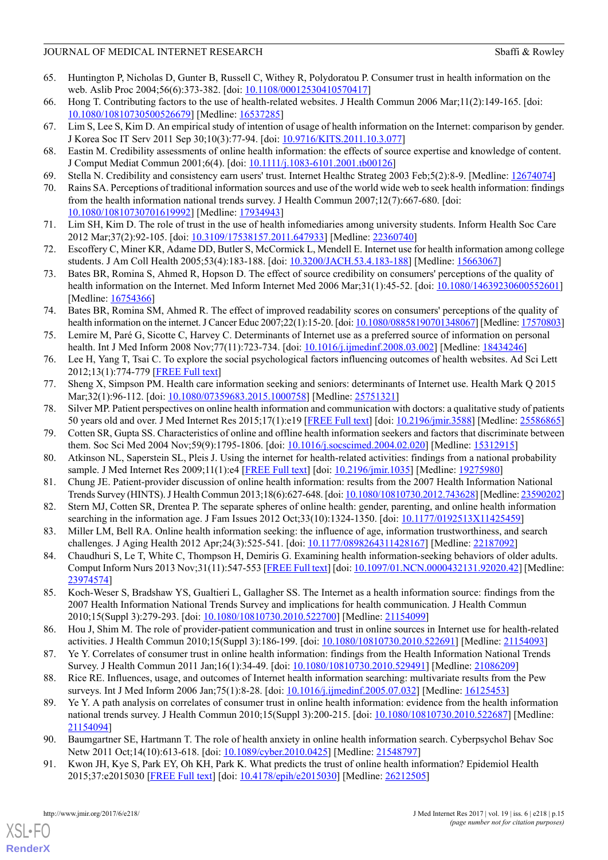- <span id="page-14-0"></span>65. Huntington P, Nicholas D, Gunter B, Russell C, Withey R, Polydoratou P. Consumer trust in health information on the web. Aslib Proc 2004;56(6):373-382. [doi: [10.1108/00012530410570417\]](http://dx.doi.org/10.1108/00012530410570417)
- <span id="page-14-2"></span><span id="page-14-1"></span>66. Hong T. Contributing factors to the use of health-related websites. J Health Commun 2006 Mar;11(2):149-165. [doi: [10.1080/10810730500526679\]](http://dx.doi.org/10.1080/10810730500526679) [Medline: [16537285](http://www.ncbi.nlm.nih.gov/entrez/query.fcgi?cmd=Retrieve&db=PubMed&list_uids=16537285&dopt=Abstract)]
- <span id="page-14-3"></span>67. Lim S, Lee S, Kim D. An empirical study of intention of usage of health information on the Internet: comparison by gender. J Korea Soc IT Serv 2011 Sep 30;10(3):77-94. [doi: [10.9716/KITS.2011.10.3.077\]](http://dx.doi.org/10.9716/KITS.2011.10.3.077)
- <span id="page-14-4"></span>68. Eastin M. Credibility assessments of online health information: the effects of source expertise and knowledge of content. J Comput Mediat Commun 2001;6(4). [doi: [10.1111/j.1083-6101.2001.tb00126](http://dx.doi.org/10.1111/j.1083-6101.2001.tb00126)]
- <span id="page-14-5"></span>69. Stella N. Credibility and consistency earn users' trust. Internet Healthc Strateg 2003 Feb;5(2):8-9. [Medline: [12674074\]](http://www.ncbi.nlm.nih.gov/entrez/query.fcgi?cmd=Retrieve&db=PubMed&list_uids=12674074&dopt=Abstract)
- <span id="page-14-6"></span>70. Rains SA. Perceptions of traditional information sources and use of the world wide web to seek health information: findings from the health information national trends survey. J Health Commun 2007;12(7):667-680. [doi: [10.1080/10810730701619992\]](http://dx.doi.org/10.1080/10810730701619992) [Medline: [17934943](http://www.ncbi.nlm.nih.gov/entrez/query.fcgi?cmd=Retrieve&db=PubMed&list_uids=17934943&dopt=Abstract)]
- <span id="page-14-7"></span>71. Lim SH, Kim D. The role of trust in the use of health infomediaries among university students. Inform Health Soc Care 2012 Mar;37(2):92-105. [doi: [10.3109/17538157.2011.647933\]](http://dx.doi.org/10.3109/17538157.2011.647933) [Medline: [22360740](http://www.ncbi.nlm.nih.gov/entrez/query.fcgi?cmd=Retrieve&db=PubMed&list_uids=22360740&dopt=Abstract)]
- <span id="page-14-8"></span>72. Escoffery C, Miner KR, Adame DD, Butler S, McCormick L, Mendell E. Internet use for health information among college students. J Am Coll Health 2005;53(4):183-188. [doi: [10.3200/JACH.53.4.183-188\]](http://dx.doi.org/10.3200/JACH.53.4.183-188) [Medline: [15663067\]](http://www.ncbi.nlm.nih.gov/entrez/query.fcgi?cmd=Retrieve&db=PubMed&list_uids=15663067&dopt=Abstract)
- <span id="page-14-9"></span>73. Bates BR, Romina S, Ahmed R, Hopson D. The effect of source credibility on consumers' perceptions of the quality of health information on the Internet. Med Inform Internet Med 2006 Mar;31(1):45-52. [doi: [10.1080/14639230600552601](http://dx.doi.org/10.1080/14639230600552601)] [Medline: [16754366](http://www.ncbi.nlm.nih.gov/entrez/query.fcgi?cmd=Retrieve&db=PubMed&list_uids=16754366&dopt=Abstract)]
- <span id="page-14-10"></span>74. Bates BR, Romina SM, Ahmed R. The effect of improved readability scores on consumers' perceptions of the quality of health information on the internet. J Cancer Educ 2007;22(1):15-20. [doi: [10.1080/08858190701348067](http://dx.doi.org/10.1080/08858190701348067)] [Medline: [17570803\]](http://www.ncbi.nlm.nih.gov/entrez/query.fcgi?cmd=Retrieve&db=PubMed&list_uids=17570803&dopt=Abstract)
- <span id="page-14-12"></span><span id="page-14-11"></span>75. Lemire M, Paré G, Sicotte C, Harvey C. Determinants of Internet use as a preferred source of information on personal health. Int J Med Inform 2008 Nov;77(11):723-734. [doi: [10.1016/j.ijmedinf.2008.03.002](http://dx.doi.org/10.1016/j.ijmedinf.2008.03.002)] [Medline: [18434246\]](http://www.ncbi.nlm.nih.gov/entrez/query.fcgi?cmd=Retrieve&db=PubMed&list_uids=18434246&dopt=Abstract)
- <span id="page-14-13"></span>76. Lee H, Yang T, Tsai C. To explore the social psychological factors influencing outcomes of health websites. Ad Sci Lett 2012;13(1):774-779 [[FREE Full text](https://doi.org/10.1166/asl.2012.3793)]
- <span id="page-14-14"></span>77. Sheng X, Simpson PM. Health care information seeking and seniors: determinants of Internet use. Health Mark Q 2015 Mar;32(1):96-112. [doi: [10.1080/07359683.2015.1000758\]](http://dx.doi.org/10.1080/07359683.2015.1000758) [Medline: [25751321\]](http://www.ncbi.nlm.nih.gov/entrez/query.fcgi?cmd=Retrieve&db=PubMed&list_uids=25751321&dopt=Abstract)
- <span id="page-14-21"></span>78. Silver MP. Patient perspectives on online health information and communication with doctors: a qualitative study of patients 50 years old and over. J Med Internet Res 2015;17(1):e19 [\[FREE Full text](http://www.jmir.org/2015/1/e19/)] [doi: [10.2196/jmir.3588](http://dx.doi.org/10.2196/jmir.3588)] [Medline: [25586865](http://www.ncbi.nlm.nih.gov/entrez/query.fcgi?cmd=Retrieve&db=PubMed&list_uids=25586865&dopt=Abstract)]
- <span id="page-14-18"></span>79. Cotten SR, Gupta SS. Characteristics of online and offline health information seekers and factors that discriminate between them. Soc Sci Med 2004 Nov;59(9):1795-1806. [doi: [10.1016/j.socscimed.2004.02.020](http://dx.doi.org/10.1016/j.socscimed.2004.02.020)] [Medline: [15312915](http://www.ncbi.nlm.nih.gov/entrez/query.fcgi?cmd=Retrieve&db=PubMed&list_uids=15312915&dopt=Abstract)]
- <span id="page-14-15"></span>80. Atkinson NL, Saperstein SL, Pleis J. Using the internet for health-related activities: findings from a national probability sample. J Med Internet Res 2009;11(1):e4 [\[FREE Full text\]](http://www.jmir.org/2009/1/e4/) [doi: [10.2196/jmir.1035\]](http://dx.doi.org/10.2196/jmir.1035) [Medline: [19275980](http://www.ncbi.nlm.nih.gov/entrez/query.fcgi?cmd=Retrieve&db=PubMed&list_uids=19275980&dopt=Abstract)]
- <span id="page-14-16"></span>81. Chung JE. Patient-provider discussion of online health information: results from the 2007 Health Information National Trends Survey (HINTS). J Health Commun 2013;18(6):627-648. [doi: [10.1080/10810730.2012.743628](http://dx.doi.org/10.1080/10810730.2012.743628)] [Medline: [23590202\]](http://www.ncbi.nlm.nih.gov/entrez/query.fcgi?cmd=Retrieve&db=PubMed&list_uids=23590202&dopt=Abstract)
- <span id="page-14-26"></span>82. Stern MJ, Cotten SR, Drentea P. The separate spheres of online health: gender, parenting, and online health information searching in the information age. J Fam Issues 2012 Oct;33(10):1324-1350. [doi: [10.1177/0192513X11425459\]](http://dx.doi.org/10.1177/0192513X11425459)
- <span id="page-14-17"></span>83. Miller LM, Bell RA. Online health information seeking: the influence of age, information trustworthiness, and search challenges. J Aging Health 2012 Apr;24(3):525-541. [doi: [10.1177/0898264311428167](http://dx.doi.org/10.1177/0898264311428167)] [Medline: [22187092\]](http://www.ncbi.nlm.nih.gov/entrez/query.fcgi?cmd=Retrieve&db=PubMed&list_uids=22187092&dopt=Abstract)
- <span id="page-14-19"></span>84. Chaudhuri S, Le T, White C, Thompson H, Demiris G. Examining health information-seeking behaviors of older adults. Comput Inform Nurs 2013 Nov;31(11):547-553 [\[FREE Full text\]](http://europepmc.org/abstract/MED/23974574) [doi: [10.1097/01.NCN.0000432131.92020.42](http://dx.doi.org/10.1097/01.NCN.0000432131.92020.42)] [Medline: [23974574](http://www.ncbi.nlm.nih.gov/entrez/query.fcgi?cmd=Retrieve&db=PubMed&list_uids=23974574&dopt=Abstract)]
- <span id="page-14-20"></span>85. Koch-Weser S, Bradshaw YS, Gualtieri L, Gallagher SS. The Internet as a health information source: findings from the 2007 Health Information National Trends Survey and implications for health communication. J Health Commun 2010;15(Suppl 3):279-293. [doi: [10.1080/10810730.2010.522700\]](http://dx.doi.org/10.1080/10810730.2010.522700) [Medline: [21154099\]](http://www.ncbi.nlm.nih.gov/entrez/query.fcgi?cmd=Retrieve&db=PubMed&list_uids=21154099&dopt=Abstract)
- <span id="page-14-23"></span><span id="page-14-22"></span>86. Hou J, Shim M. The role of provider-patient communication and trust in online sources in Internet use for health-related activities. J Health Commun 2010;15(Suppl 3):186-199. [doi: [10.1080/10810730.2010.522691\]](http://dx.doi.org/10.1080/10810730.2010.522691) [Medline: [21154093](http://www.ncbi.nlm.nih.gov/entrez/query.fcgi?cmd=Retrieve&db=PubMed&list_uids=21154093&dopt=Abstract)]
- 87. Ye Y. Correlates of consumer trust in online health information: findings from the Health Information National Trends Survey. J Health Commun 2011 Jan;16(1):34-49. [doi: [10.1080/10810730.2010.529491](http://dx.doi.org/10.1080/10810730.2010.529491)] [Medline: [21086209\]](http://www.ncbi.nlm.nih.gov/entrez/query.fcgi?cmd=Retrieve&db=PubMed&list_uids=21086209&dopt=Abstract)
- <span id="page-14-25"></span><span id="page-14-24"></span>88. Rice RE. Influences, usage, and outcomes of Internet health information searching: multivariate results from the Pew surveys. Int J Med Inform 2006 Jan;75(1):8-28. [doi: [10.1016/j.ijmedinf.2005.07.032\]](http://dx.doi.org/10.1016/j.ijmedinf.2005.07.032) [Medline: [16125453\]](http://www.ncbi.nlm.nih.gov/entrez/query.fcgi?cmd=Retrieve&db=PubMed&list_uids=16125453&dopt=Abstract)
- 89. Ye Y. A path analysis on correlates of consumer trust in online health information: evidence from the health information national trends survey. J Health Commun 2010;15(Suppl 3):200-215. [doi: [10.1080/10810730.2010.522687](http://dx.doi.org/10.1080/10810730.2010.522687)] [Medline: [21154094](http://www.ncbi.nlm.nih.gov/entrez/query.fcgi?cmd=Retrieve&db=PubMed&list_uids=21154094&dopt=Abstract)]
- 90. Baumgartner SE, Hartmann T. The role of health anxiety in online health information search. Cyberpsychol Behav Soc Netw 2011 Oct;14(10):613-618. [doi: [10.1089/cyber.2010.0425](http://dx.doi.org/10.1089/cyber.2010.0425)] [Medline: [21548797\]](http://www.ncbi.nlm.nih.gov/entrez/query.fcgi?cmd=Retrieve&db=PubMed&list_uids=21548797&dopt=Abstract)
- 91. Kwon JH, Kye S, Park EY, Oh KH, Park K. What predicts the trust of online health information? Epidemiol Health 2015;37:e2015030 [\[FREE Full text\]](https://dx.doi.org/10.4178/epih/e2015030) [doi: [10.4178/epih/e2015030\]](http://dx.doi.org/10.4178/epih/e2015030) [Medline: [26212505](http://www.ncbi.nlm.nih.gov/entrez/query.fcgi?cmd=Retrieve&db=PubMed&list_uids=26212505&dopt=Abstract)]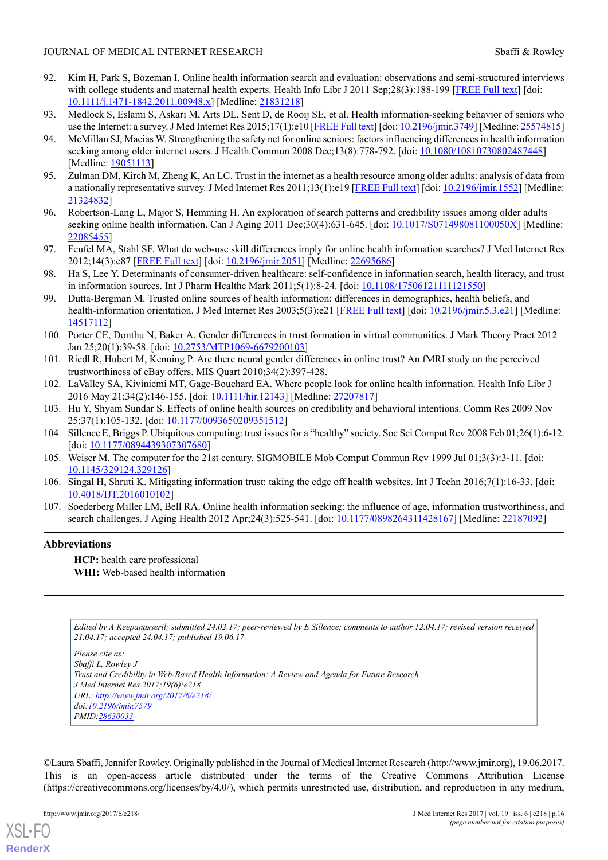- <span id="page-15-0"></span>92. Kim H, Park S, Bozeman I. Online health information search and evaluation: observations and semi-structured interviews with college students and maternal health experts. Health Info Libr J 2011 Sep;28(3):188-199 [\[FREE Full text\]](http://dx.doi.org/10.1111/j.1471-1842.2011.00948.x) [doi: [10.1111/j.1471-1842.2011.00948.x](http://dx.doi.org/10.1111/j.1471-1842.2011.00948.x)] [Medline: [21831218](http://www.ncbi.nlm.nih.gov/entrez/query.fcgi?cmd=Retrieve&db=PubMed&list_uids=21831218&dopt=Abstract)]
- <span id="page-15-5"></span><span id="page-15-1"></span>93. Medlock S, Eslami S, Askari M, Arts DL, Sent D, de Rooij SE, et al. Health information-seeking behavior of seniors who use the Internet: a survey. J Med Internet Res 2015;17(1):e10 [[FREE Full text\]](http://www.jmir.org/2015/1/e10/) [doi: [10.2196/jmir.3749](http://dx.doi.org/10.2196/jmir.3749)] [Medline: [25574815\]](http://www.ncbi.nlm.nih.gov/entrez/query.fcgi?cmd=Retrieve&db=PubMed&list_uids=25574815&dopt=Abstract)
- 94. McMillan SJ, Macias W. Strengthening the safety net for online seniors: factors influencing differences in health information seeking among older internet users. J Health Commun 2008 Dec;13(8):778-792. [doi: [10.1080/10810730802487448\]](http://dx.doi.org/10.1080/10810730802487448) [Medline: [19051113\]](http://www.ncbi.nlm.nih.gov/entrez/query.fcgi?cmd=Retrieve&db=PubMed&list_uids=19051113&dopt=Abstract)
- <span id="page-15-6"></span><span id="page-15-2"></span>95. Zulman DM, Kirch M, Zheng K, An LC. Trust in the internet as a health resource among older adults: analysis of data from a nationally representative survey. J Med Internet Res 2011;13(1):e19 [[FREE Full text\]](http://www.jmir.org/2011/1/e19/) [doi: [10.2196/jmir.1552\]](http://dx.doi.org/10.2196/jmir.1552) [Medline: [21324832](http://www.ncbi.nlm.nih.gov/entrez/query.fcgi?cmd=Retrieve&db=PubMed&list_uids=21324832&dopt=Abstract)]
- <span id="page-15-3"></span>96. Robertson-Lang L, Major S, Hemming H. An exploration of search patterns and credibility issues among older adults seeking online health information. Can J Aging 2011 Dec; 30(4): 631-645. [doi: [10.1017/S071498081100050X](http://dx.doi.org/10.1017/S071498081100050X)] [Medline: [22085455](http://www.ncbi.nlm.nih.gov/entrez/query.fcgi?cmd=Retrieve&db=PubMed&list_uids=22085455&dopt=Abstract)]
- <span id="page-15-4"></span>97. Feufel MA, Stahl SF. What do web-use skill differences imply for online health information searches? J Med Internet Res 2012;14(3):e87 [[FREE Full text](http://www.jmir.org/2012/3/e87/)] [doi: [10.2196/jmir.2051\]](http://dx.doi.org/10.2196/jmir.2051) [Medline: [22695686](http://www.ncbi.nlm.nih.gov/entrez/query.fcgi?cmd=Retrieve&db=PubMed&list_uids=22695686&dopt=Abstract)]
- <span id="page-15-7"></span>98. Ha S, Lee Y. Determinants of consumer-driven healthcare: self-confidence in information search, health literacy, and trust in information sources. Int J Pharm Healthc Mark 2011;5(1):8-24. [doi: [10.1108/17506121111121550\]](http://dx.doi.org/10.1108/17506121111121550)
- <span id="page-15-9"></span>99. Dutta-Bergman M. Trusted online sources of health information: differences in demographics, health beliefs, and health-information orientation. J Med Internet Res 2003;5(3):e21 [[FREE Full text](http://www.jmir.org/2003/3/e21/)] [doi: [10.2196/jmir.5.3.e21\]](http://dx.doi.org/10.2196/jmir.5.3.e21) [Medline: [14517112](http://www.ncbi.nlm.nih.gov/entrez/query.fcgi?cmd=Retrieve&db=PubMed&list_uids=14517112&dopt=Abstract)]
- <span id="page-15-11"></span><span id="page-15-10"></span>100. Porter CE, Donthu N, Baker A. Gender differences in trust formation in virtual communities. J Mark Theory Pract 2012 Jan 25;20(1):39-58. [doi: [10.2753/MTP1069-6679200103](http://dx.doi.org/10.2753/MTP1069-6679200103)]
- <span id="page-15-12"></span>101. Riedl R, Hubert M, Kenning P. Are there neural gender differences in online trust? An fMRI study on the perceived trustworthiness of eBay offers. MIS Quart 2010;34(2):397-428.
- <span id="page-15-13"></span>102. LaValley SA, Kiviniemi MT, Gage-Bouchard EA. Where people look for online health information. Health Info Libr J 2016 May 21;34(2):146-155. [doi: [10.1111/hir.12143\]](http://dx.doi.org/10.1111/hir.12143) [Medline: [27207817\]](http://www.ncbi.nlm.nih.gov/entrez/query.fcgi?cmd=Retrieve&db=PubMed&list_uids=27207817&dopt=Abstract)
- <span id="page-15-14"></span>103. Hu Y, Shyam Sundar S. Effects of online health sources on credibility and behavioral intentions. Comm Res 2009 Nov 25;37(1):105-132. [doi: [10.1177/0093650209351512](http://dx.doi.org/10.1177/0093650209351512)]
- <span id="page-15-15"></span>104. Sillence E, Briggs P. Ubiquitous computing: trust issues for a "healthy" society. Soc Sci Comput Rev 2008 Feb 01;26(1):6-12. [doi: [10.1177/0894439307307680\]](http://dx.doi.org/10.1177/0894439307307680)
- <span id="page-15-8"></span>105. Weiser M. The computer for the 21st century. SIGMOBILE Mob Comput Commun Rev 1999 Jul 01;3(3):3-11. [doi: [10.1145/329124.329126\]](http://dx.doi.org/10.1145/329124.329126)
- 106. Singal H, Shruti K. Mitigating information trust: taking the edge off health websites. Int J Techn 2016;7(1):16-33. [doi: [10.4018/IJT.2016010102\]](http://dx.doi.org/10.4018/IJT.2016010102)
- 107. Soederberg Miller LM, Bell RA. Online health information seeking: the influence of age, information trustworthiness, and search challenges. J Aging Health 2012 Apr;24(3):525-541. [doi: [10.1177/0898264311428167](http://dx.doi.org/10.1177/0898264311428167)] [Medline: [22187092\]](http://www.ncbi.nlm.nih.gov/entrez/query.fcgi?cmd=Retrieve&db=PubMed&list_uids=22187092&dopt=Abstract)

# **Abbreviations**

**HCP:** health care professional **WHI:** Web-based health information

*Edited by A Keepanasseril; submitted 24.02.17; peer-reviewed by E Sillence; comments to author 12.04.17; revised version received 21.04.17; accepted 24.04.17; published 19.06.17*

*Please cite as: Sbaffi L, Rowley J Trust and Credibility in Web-Based Health Information: A Review and Agenda for Future Research J Med Internet Res 2017;19(6):e218 URL: <http://www.jmir.org/2017/6/e218/> doi[:10.2196/jmir.7579](http://dx.doi.org/10.2196/jmir.7579) PMID:[28630033](http://www.ncbi.nlm.nih.gov/entrez/query.fcgi?cmd=Retrieve&db=PubMed&list_uids=28630033&dopt=Abstract)*

©Laura Sbaffi, Jennifer Rowley. Originally published in the Journal of Medical Internet Research (http://www.jmir.org), 19.06.2017. This is an open-access article distributed under the terms of the Creative Commons Attribution License (https://creativecommons.org/licenses/by/4.0/), which permits unrestricted use, distribution, and reproduction in any medium,